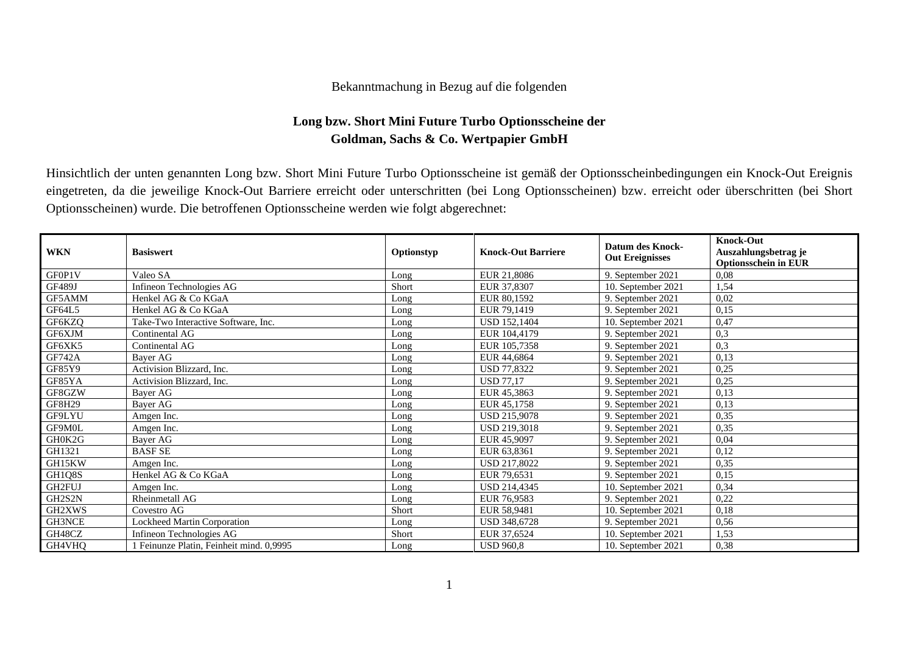## Bekanntmachung in Bezug auf die folgenden

## **Long bzw. Short Mini Future Turbo Optionsscheine der Goldman, Sachs & Co. Wertpapier GmbH**

Hinsichtlich der unten genannten Long bzw. Short Mini Future Turbo Optionsscheine ist gemäß der Optionsscheinbedingungen ein Knock-Out Ereignis eingetreten, da die jeweilige Knock-Out Barriere erreicht oder unterschritten (bei Long Optionsscheinen) bzw. erreicht oder überschritten (bei Short Optionsscheinen) wurde. Die betroffenen Optionsscheine werden wie folgt abgerechnet:

| <b>WKN</b>    | <b>Basiswert</b>                       | Optionstyp | <b>Knock-Out Barriere</b> | <b>Datum des Knock-</b><br><b>Out Ereignisses</b> | <b>Knock-Out</b><br>Auszahlungsbetrag je<br><b>Optionsschein in EUR</b> |
|---------------|----------------------------------------|------------|---------------------------|---------------------------------------------------|-------------------------------------------------------------------------|
| GF0P1V        | Valeo SA                               | Long       | EUR 21,8086               | 9. September 2021                                 | 0.08                                                                    |
| GF489J        | Infineon Technologies AG               | Short      | EUR 37,8307               | 10. September 2021                                | 1,54                                                                    |
| GF5AMM        | Henkel AG & Co KGaA                    | Long       | EUR 80.1592               | 9. September 2021                                 | 0,02                                                                    |
| GF64L5        | Henkel AG & Co KGaA                    | Long       | EUR 79,1419               | 9. September 2021                                 | 0,15                                                                    |
| GF6KZQ        | Take-Two Interactive Software, Inc.    | Long       | <b>USD 152,1404</b>       | 10. September 2021                                | 0,47                                                                    |
| GF6XJM        | Continental AG                         | Long       | EUR 104,4179              | 9. September 2021                                 | 0,3                                                                     |
| GF6XK5        | Continental AG                         | Long       | EUR 105,7358              | 9. September 2021                                 | 0,3                                                                     |
| <b>GF742A</b> | Bayer AG                               | Long       | EUR 44,6864               | 9. September 2021                                 | 0,13                                                                    |
| GF85Y9        | Activision Blizzard, Inc.              | Long       | <b>USD 77,8322</b>        | 9. September 2021                                 | 0,25                                                                    |
| GF85YA        | Activision Blizzard, Inc.              | Long       | <b>USD 77,17</b>          | 9. September 2021                                 | 0,25                                                                    |
| GF8GZW        | Bayer AG                               | Long       | EUR 45,3863               | 9. September 2021                                 | 0,13                                                                    |
| <b>GF8H29</b> | Bayer AG                               | Long       | EUR 45,1758               | 9. September 2021                                 | 0.13                                                                    |
| GF9LYU        | Amgen Inc.                             | Long       | <b>USD 215,9078</b>       | 9. September 2021                                 | 0,35                                                                    |
| GF9M0L        | Amgen Inc.                             | Long       | USD 219,3018              | 9. September 2021                                 | 0,35                                                                    |
| GH0K2G        | Bayer AG                               | Long       | EUR 45,9097               | 9. September 2021                                 | 0,04                                                                    |
| GH1321        | <b>BASF SE</b>                         | Long       | EUR 63,8361               | 9. September 2021                                 | 0,12                                                                    |
| GH15KW        | Amgen Inc.                             | Long       | USD 217,8022              | 9. September 2021                                 | 0,35                                                                    |
| GH1Q8S        | Henkel AG & Co KGaA                    | Long       | EUR 79,6531               | 9. September 2021                                 | 0,15                                                                    |
| GH2FUJ        | Amgen Inc.                             | Long       | USD 214,4345              | 10. September 2021                                | 0,34                                                                    |
| GH2S2N        | Rheinmetall AG                         | Long       | EUR 76,9583               | 9. September 2021                                 | 0,22                                                                    |
| GH2XWS        | Covestro AG                            | Short      | EUR 58,9481               | 10. September 2021                                | 0,18                                                                    |
| GH3NCE        | Lockheed Martin Corporation            | Long       | USD 348,6728              | 9. September 2021                                 | 0,56                                                                    |
| GH48CZ        | Infineon Technologies AG               | Short      | EUR 37,6524               | 10. September 2021                                | 1,53                                                                    |
| GH4VHQ        | Feinunze Platin, Feinheit mind. 0,9995 | Long       | <b>USD 960,8</b>          | 10. September 2021                                | 0,38                                                                    |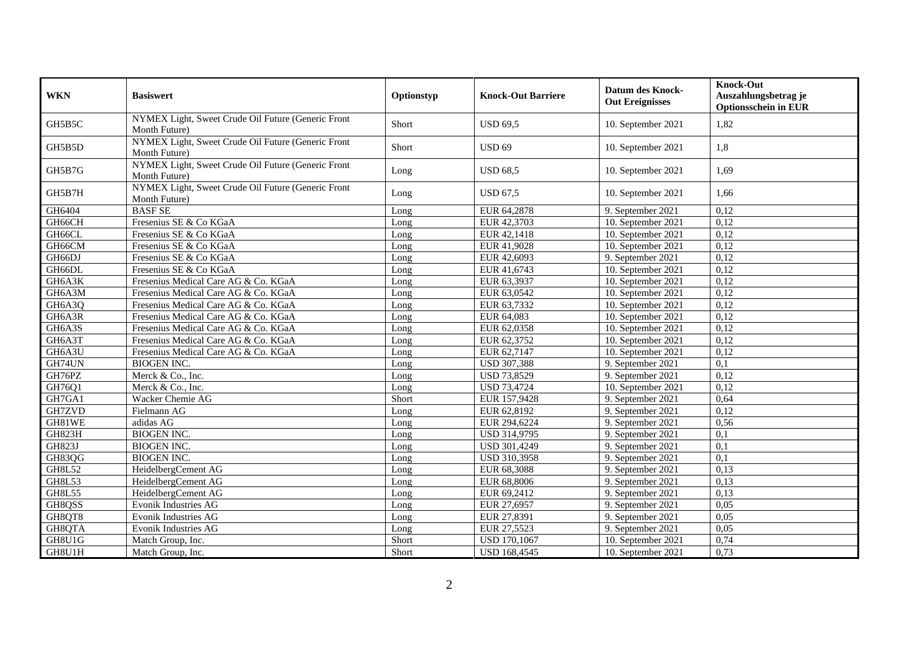| <b>WKN</b>    | <b>Basiswert</b>                                                    | Optionstyp | <b>Knock-Out Barriere</b> | <b>Datum des Knock-</b><br><b>Out Ereignisses</b> | <b>Knock-Out</b><br>Auszahlungsbetrag je<br><b>Optionsschein in EUR</b> |
|---------------|---------------------------------------------------------------------|------------|---------------------------|---------------------------------------------------|-------------------------------------------------------------------------|
| GH5B5C        | NYMEX Light, Sweet Crude Oil Future (Generic Front<br>Month Future) | Short      | <b>USD 69,5</b>           | 10. September 2021                                | 1,82                                                                    |
| GH5B5D        | NYMEX Light, Sweet Crude Oil Future (Generic Front<br>Month Future) | Short      | <b>USD 69</b>             | 10. September 2021                                | 1,8                                                                     |
| GH5B7G        | NYMEX Light, Sweet Crude Oil Future (Generic Front<br>Month Future) | Long       | <b>USD 68,5</b>           | 10. September 2021                                | 1.69                                                                    |
| GH5B7H        | NYMEX Light, Sweet Crude Oil Future (Generic Front<br>Month Future) | Long       | <b>USD 67,5</b>           | 10. September 2021                                | 1,66                                                                    |
| GH6404        | <b>BASF SE</b>                                                      | Long       | EUR 64,2878               | 9. September 2021                                 | 0,12                                                                    |
| GH66CH        | Fresenius SE & Co KGaA                                              | Long       | EUR 42,3703               | $\overline{10}$ . September 2021                  | 0,12                                                                    |
| GH66CL        | Fresenius SE & Co KGaA                                              | Long       | EUR 42,1418               | 10. September 2021                                | 0,12                                                                    |
| GH66CM        | Fresenius SE & Co KGaA                                              | Long       | EUR 41,9028               | 10. September 2021                                | 0,12                                                                    |
| GH66DJ        | Fresenius SE & Co KGaA                                              | Long       | EUR 42,6093               | 9. September 2021                                 | 0,12                                                                    |
| GH66DL        | Fresenius SE & Co KGaA                                              | Long       | EUR 41,6743               | 10. September 2021                                | 0,12                                                                    |
| GH6A3K        | Fresenius Medical Care AG & Co. KGaA                                | Long       | EUR 63,3937               | 10. September 2021                                | 0,12                                                                    |
| GH6A3M        | Fresenius Medical Care AG & Co. KGaA                                | Long       | EUR 63,0542               | 10. September 2021                                | 0,12                                                                    |
| GH6A3Q        | Fresenius Medical Care AG & Co. KGaA                                | Long       | EUR 63,7332               | 10. September 2021                                | 0,12                                                                    |
| GH6A3R        | Fresenius Medical Care AG & Co. KGaA                                | Long       | EUR 64,083                | 10. September 2021                                | 0,12                                                                    |
| GH6A3S        | Fresenius Medical Care AG & Co. KGaA                                | Long       | EUR 62,0358               | 10. September 2021                                | 0,12                                                                    |
| GH6A3T        | Fresenius Medical Care AG & Co. KGaA                                | Long       | EUR 62,3752               | 10. September 2021                                | 0,12                                                                    |
| GH6A3U        | Fresenius Medical Care AG & Co. KGaA                                | Long       | EUR 62,7147               | 10. September 2021                                | 0,12                                                                    |
| GH74UN        | <b>BIOGEN INC.</b>                                                  | Long       | <b>USD 307,388</b>        | 9. September 2021                                 | 0,1                                                                     |
| GH76PZ        | Merck & Co., Inc.                                                   | Long       | <b>USD 73,8529</b>        | 9. September 2021                                 | 0,12                                                                    |
| GH76Q1        | Merck & Co., Inc.                                                   | Long       | <b>USD 73,4724</b>        | 10. September 2021                                | 0,12                                                                    |
| GH7GA1        | Wacker Chemie AG                                                    | Short      | EUR 157,9428              | 9. September 2021                                 | 0,64                                                                    |
| GH7ZVD        | Fielmann AG                                                         | Long       | EUR 62,8192               | 9. September 2021                                 | 0,12                                                                    |
| GH81WE        | adidas AG                                                           | Long       | EUR 294,6224              | 9. September 2021                                 | 0,56                                                                    |
| <b>GH823H</b> | <b>BIOGEN INC.</b>                                                  | Long       | USD 314,9795              | 9. September 2021                                 | 0,1                                                                     |
| <b>GH823J</b> | <b>BIOGEN INC.</b>                                                  | Long       | USD 301,4249              | 9. September 2021                                 | 0,1                                                                     |
| GH83QG        | <b>BIOGEN INC.</b>                                                  | Long       | USD 310,3958              | 9. September 2021                                 | 0,1                                                                     |
| GH8L52        | HeidelbergCement AG                                                 | Long       | EUR 68,3088               | 9. September 2021                                 | 0,13                                                                    |
| <b>GH8L53</b> | HeidelbergCement AG                                                 | Long       | EUR 68,8006               | 9. September 2021                                 | 0,13                                                                    |
| <b>GH8L55</b> | HeidelbergCement AG                                                 | Long       | EUR 69,2412               | 9. September 2021                                 | 0,13                                                                    |
| GH8QSS        | <b>Evonik Industries AG</b>                                         | Long       | EUR 27,6957               | 9. September 2021                                 | 0,05                                                                    |
| GH8QT8        | <b>Evonik Industries AG</b>                                         | Long       | EUR 27,8391               | 9. September 2021                                 | 0,05                                                                    |
| GH8QTA        | Evonik Industries AG                                                | Long       | EUR 27,5523               | 9. September 2021                                 | 0,05                                                                    |
| GH8U1G        | Match Group, Inc.                                                   | Short      | <b>USD 170,1067</b>       | 10. September 2021                                | 0,74                                                                    |
| GH8U1H        | Match Group, Inc.                                                   | Short      | <b>USD 168,4545</b>       | 10. September 2021                                | 0,73                                                                    |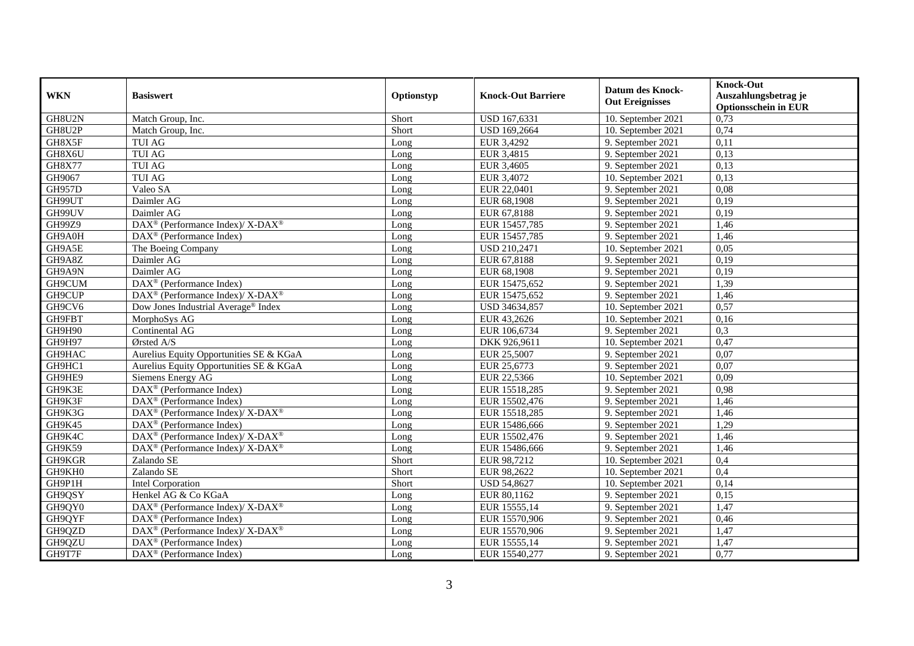| <b>WKN</b>    | <b>Basiswert</b>                                         | Optionstyp | <b>Knock-Out Barriere</b> | <b>Datum des Knock-</b><br><b>Out Ereignisses</b> | <b>Knock-Out</b><br>Auszahlungsbetrag je<br><b>Optionsschein in EUR</b> |
|---------------|----------------------------------------------------------|------------|---------------------------|---------------------------------------------------|-------------------------------------------------------------------------|
| GH8U2N        | Match Group, Inc.                                        | Short      | USD 167,6331              | 10. September 2021                                | 0,73                                                                    |
| GH8U2P        | Match Group, Inc.                                        | Short      | <b>USD 169,2664</b>       | 10. September 2021                                | 0,74                                                                    |
| GH8X5F        | <b>TUI AG</b>                                            | Long       | EUR 3,4292                | 9. September 2021                                 | 0,11                                                                    |
| GH8X6U        | <b>TUI AG</b>                                            | Long       | EUR 3,4815                | 9. September 2021                                 | 0,13                                                                    |
| <b>GH8X77</b> | <b>TUI AG</b>                                            | Long       | EUR 3,4605                | 9. September 2021                                 | 0,13                                                                    |
| GH9067        | <b>TUI AG</b>                                            | Long       | EUR 3,4072                | 10. September 2021                                | 0,13                                                                    |
| <b>GH957D</b> | Valeo SA                                                 | Long       | EUR 22,0401               | 9. September 2021                                 | 0,08                                                                    |
| GH99UT        | Daimler AG                                               | Long       | EUR 68,1908               | 9. September 2021                                 | 0,19                                                                    |
| GH99UV        | Daimler AG                                               | Long       | EUR 67,8188               | 9. September 2021                                 | 0,19                                                                    |
| GH99Z9        | DAX <sup>®</sup> (Performance Index)/X-DAX <sup>®</sup>  | Long       | EUR 15457,785             | 9. September 2021                                 | 1,46                                                                    |
| GH9A0H        | DAX <sup>®</sup> (Performance Index)                     | Long       | EUR 15457,785             | 9. September 2021                                 | 1,46                                                                    |
| GH9A5E        | The Boeing Company                                       | Long       | <b>USD 210,2471</b>       | 10. September 2021                                | 0,05                                                                    |
| GH9A8Z        | Daimler AG                                               | Long       | EUR 67,8188               | 9. September 2021                                 | 0,19                                                                    |
| GH9A9N        | Daimler AG                                               | Long       | EUR 68,1908               | 9. September 2021                                 | 0,19                                                                    |
| GH9CUM        | DAX <sup>®</sup> (Performance Index)                     | Long       | EUR 15475,652             | 9. September 2021                                 | 1,39                                                                    |
| GH9CUP        | DAX <sup>®</sup> (Performance Index)/X-DAX <sup>®</sup>  | Long       | EUR 15475,652             | 9. September 2021                                 | 1,46                                                                    |
| GH9CV6        | Dow Jones Industrial Average® Index                      | Long       | USD 34634,857             | 10. September 2021                                | 0,57                                                                    |
| GH9FBT        | MorphoSys AG                                             | Long       | EUR 43,2626               | 10. September 2021                                | 0,16                                                                    |
| GH9H90        | Continental AG                                           | Long       | EUR 106,6734              | 9. September 2021                                 | 0,3                                                                     |
| GH9H97        | Ørsted A/S                                               | Long       | DKK 926,9611              | 10. September 2021                                | 0,47                                                                    |
| GH9HAC        | Aurelius Equity Opportunities SE & KGaA                  | Long       | EUR 25,5007               | 9. September 2021                                 | 0,07                                                                    |
| GH9HC1        | Aurelius Equity Opportunities SE & KGaA                  | Long       | EUR 25,6773               | 9. September 2021                                 | 0,07                                                                    |
| GH9HE9        | Siemens Energy AG                                        | Long       | EUR 22,5366               | 10. September 2021                                | 0,09                                                                    |
| GH9K3E        | $\overline{\text{DAX}^{\otimes}}$ (Performance Index)    | Long       | EUR 15518,285             | 9. September 2021                                 | 0,98                                                                    |
| GH9K3F        | DAX <sup>®</sup> (Performance Index)                     | Long       | EUR 15502,476             | 9. September 2021                                 | 1,46                                                                    |
| GH9K3G        | DAX <sup>®</sup> (Performance Index)/ X-DAX <sup>®</sup> | Long       | EUR 15518,285             | 9. September 2021                                 | 1,46                                                                    |
| GH9K45        | DAX <sup>®</sup> (Performance Index)                     | Long       | EUR 15486,666             | 9. September 2021                                 | 1,29                                                                    |
| GH9K4C        | DAX <sup>®</sup> (Performance Index)/ X-DAX <sup>®</sup> | Long       | EUR 15502,476             | 9. September 2021                                 | 1,46                                                                    |
| GH9K59        | DAX <sup>®</sup> (Performance Index)/ X-DAX <sup>®</sup> | Long       | EUR 15486,666             | 9. September 2021                                 | 1,46                                                                    |
| GH9KGR        | Zalando SE                                               | Short      | EUR 98,7212               | 10. September 2021                                | 0,4                                                                     |
| GH9KH0        | Zalando SE                                               | Short      | EUR 98,2622               | 10. September 2021                                | 0,4                                                                     |
| GH9P1H        | <b>Intel Corporation</b>                                 | Short      | <b>USD 54,8627</b>        | 10. September 2021                                | 0,14                                                                    |
| GH9QSY        | Henkel AG & Co KGaA                                      | Long       | EUR 80,1162               | 9. September 2021                                 | 0,15                                                                    |
| GH9QY0        | DAX <sup>®</sup> (Performance Index)/X-DAX <sup>®</sup>  | Long       | EUR 15555,14              | 9. September 2021                                 | 1,47                                                                    |
| GH9QYF        | $DAX^{\circledast}$ (Performance Index)                  | Long       | EUR 15570,906             | 9. September 2021                                 | 0,46                                                                    |
| GH9QZD        | DAX <sup>®</sup> (Performance Index)/ X-DAX <sup>®</sup> | Long       | EUR 15570,906             | 9. September 2021                                 | 1,47                                                                    |
| GH9QZU        | DAX <sup>®</sup> (Performance Index)                     | Long       | EUR 15555,14              | 9. September 2021                                 | 1,47                                                                    |
| GH9T7F        | $DAX^{\circledast}$ (Performance Index)                  | Long       | EUR 15540,277             | 9. September 2021                                 | 0,77                                                                    |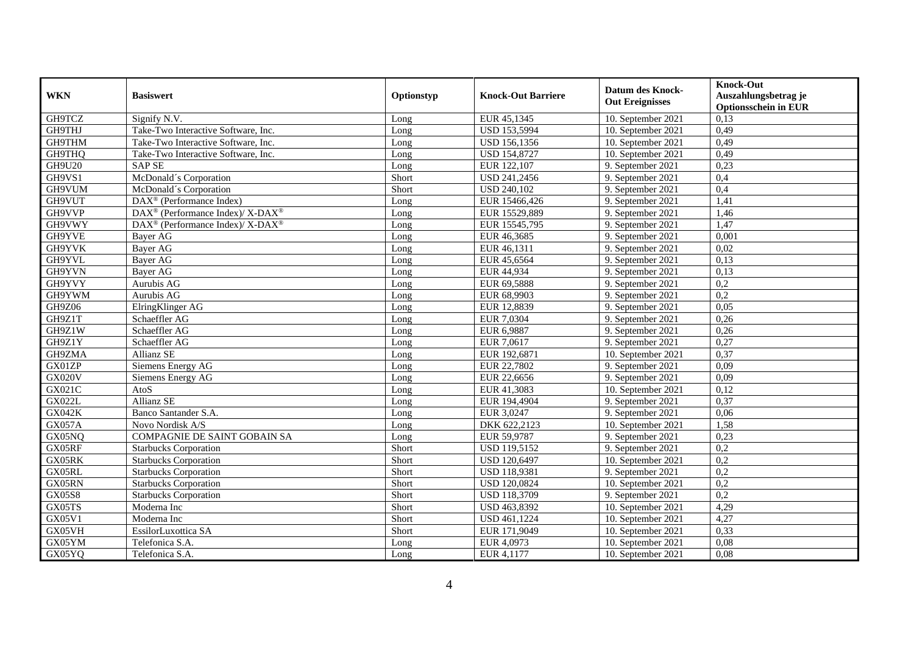| <b>WKN</b>    | <b>Basiswert</b>                                         | Optionstyp | <b>Knock-Out Barriere</b> | <b>Datum des Knock-</b><br><b>Out Ereignisses</b> | <b>Knock-Out</b><br>Auszahlungsbetrag je<br><b>Optionsschein in EUR</b> |
|---------------|----------------------------------------------------------|------------|---------------------------|---------------------------------------------------|-------------------------------------------------------------------------|
| GH9TCZ        | Signify N.V.                                             | Long       | EUR 45,1345               | 10. September 2021                                | 0,13                                                                    |
| <b>GH9THJ</b> | Take-Two Interactive Software, Inc.                      | Long       | <b>USD 153,5994</b>       | 10. September 2021                                | 0,49                                                                    |
| GH9THM        | Take-Two Interactive Software, Inc.                      | Long       | USD 156,1356              | 10. September 2021                                | 0,49                                                                    |
| GH9THQ        | Take-Two Interactive Software, Inc.                      | Long       | <b>USD 154,8727</b>       | 10. September 2021                                | 0,49                                                                    |
| <b>GH9U20</b> | <b>SAP SE</b>                                            | Long       | EUR 122,107               | 9. September 2021                                 | 0,23                                                                    |
| GH9VS1        | McDonald's Corporation                                   | Short      | USD 241,2456              | 9. September 2021                                 | 0,4                                                                     |
| GH9VUM        | McDonald's Corporation                                   | Short      | <b>USD 240,102</b>        | 9. September 2021                                 | 0,4                                                                     |
| GH9VUT        | $DAX^{\circledast}$ (Performance Index)                  | Long       | EUR 15466,426             | 9. September 2021                                 | 1,41                                                                    |
| GH9VVP        | DAX <sup>®</sup> (Performance Index)/ X-DAX <sup>®</sup> | Long       | EUR 15529,889             | 9. September 2021                                 | 1,46                                                                    |
| GH9VWY        | DAX <sup>®</sup> (Performance Index)/ X-DAX <sup>®</sup> | Long       | EUR 15545,795             | 9. September 2021                                 | 1,47                                                                    |
| GH9YVE        | Bayer AG                                                 | Long       | EUR 46,3685               | 9. September 2021                                 | 0,001                                                                   |
| GH9YVK        | <b>Bayer AG</b>                                          | Long       | EUR 46,1311               | 9. September 2021                                 | 0,02                                                                    |
| GH9YVL        | Bayer AG                                                 | Long       | EUR 45,6564               | 9. September 2021                                 | 0,13                                                                    |
| GH9YVN        | Bayer AG                                                 | Long       | EUR 44,934                | 9. September 2021                                 | 0,13                                                                    |
| GH9YVY        | Aurubis AG                                               | Long       | EUR 69,5888               | 9. September 2021                                 | 0,2                                                                     |
| GH9YWM        | Aurubis AG                                               | Long       | EUR 68,9903               | 9. September 2021                                 | 0,2                                                                     |
| GH9Z06        | ElringKlinger AG                                         | Long       | EUR 12,8839               | 9. September 2021                                 | 0,05                                                                    |
| GH9Z1T        | Schaeffler AG                                            | Long       | EUR 7,0304                | 9. September 2021                                 | 0,26                                                                    |
| GH9Z1W        | Schaeffler AG                                            | Long       | EUR 6,9887                | 9. September 2021                                 | 0,26                                                                    |
| GH9Z1Y        | Schaeffler AG                                            | Long       | EUR 7,0617                | 9. September 2021                                 | 0,27                                                                    |
| GH9ZMA        | <b>Allianz SE</b>                                        | Long       | EUR 192,6871              | 10. September 2021                                | 0,37                                                                    |
| GX01ZP        | Siemens Energy AG                                        | Long       | EUR 22,7802               | 9. September 2021                                 | 0,09                                                                    |
| <b>GX020V</b> | Siemens Energy AG                                        | Long       | EUR 22,6656               | 9. September 2021                                 | 0,09                                                                    |
| GX021C        | AtoS                                                     | Long       | EUR 41,3083               | 10. September 2021                                | 0,12                                                                    |
| <b>GX022L</b> | Allianz SE                                               | Long       | EUR 194,4904              | 9. September 2021                                 | 0,37                                                                    |
| <b>GX042K</b> | Banco Santander S.A.                                     | Long       | EUR 3,0247                | 9. September 2021                                 | 0,06                                                                    |
| GX057A        | Novo Nordisk A/S                                         | Long       | DKK 622,2123              | 10. September 2021                                | 1,58                                                                    |
| GX05NQ        | <b>COMPAGNIE DE SAINT GOBAIN SA</b>                      | Long       | EUR 59,9787               | 9. September 2021                                 | 0,23                                                                    |
| GX05RF        | <b>Starbucks Corporation</b>                             | Short      | <b>USD 119,5152</b>       | 9. September 2021                                 | 0,2                                                                     |
| GX05RK        | Starbucks Corporation                                    | Short      | <b>USD 120,6497</b>       | 10. September 2021                                | $\overline{0.2}$                                                        |
| GX05RL        | <b>Starbucks Corporation</b>                             | Short      | USD 118,9381              | 9. September 2021                                 | 0,2                                                                     |
| GX05RN        | <b>Starbucks Corporation</b>                             | Short      | <b>USD 120,0824</b>       | 10. September 2021                                | 0,2                                                                     |
| <b>GX05S8</b> | <b>Starbucks Corporation</b>                             | Short      | <b>USD 118,3709</b>       | 9. September 2021                                 | 0,2                                                                     |
| GX05TS        | Moderna Inc                                              | Short      | USD 463,8392              | 10. September 2021                                | 4,29                                                                    |
| GX05V1        | Moderna Inc                                              | Short      | USD 461,1224              | 10. September 2021                                | 4,27                                                                    |
| GX05VH        | EssilorLuxottica SA                                      | Short      | EUR 171,9049              | 10. September 2021                                | 0,33                                                                    |
| GX05YM        | Telefonica S.A.                                          | Long       | EUR 4,0973                | 10. September 2021                                | 0,08                                                                    |
| GX05YQ        | Telefonica S.A.                                          | Long       | EUR 4,1177                | 10. September 2021                                | 0,08                                                                    |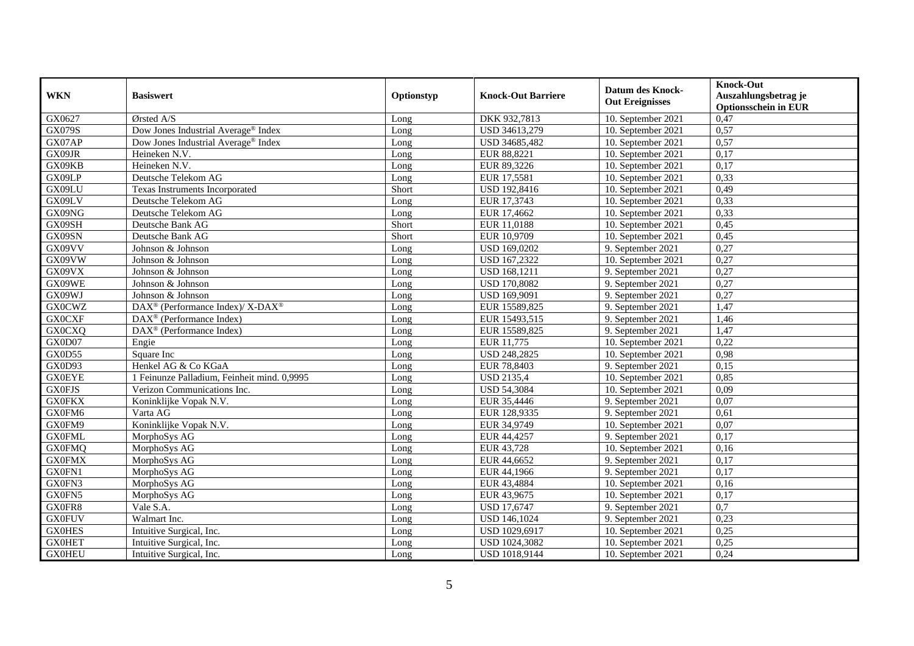| <b>WKN</b>    | <b>Basiswert</b>                                                         | Optionstyp | <b>Knock-Out Barriere</b> | <b>Datum des Knock-</b><br><b>Out Ereignisses</b> | <b>Knock-Out</b><br>Auszahlungsbetrag je<br><b>Optionsschein in EUR</b> |
|---------------|--------------------------------------------------------------------------|------------|---------------------------|---------------------------------------------------|-------------------------------------------------------------------------|
| GX0627        | Ørsted A/S                                                               | Long       | DKK 932,7813              | 10. September 2021                                | 0,47                                                                    |
| <b>GX079S</b> | Dow Jones Industrial Average® Index                                      | Long       | USD 34613,279             | 10. September 2021                                | 0,57                                                                    |
| GX07AP        | Dow Jones Industrial Average® Index                                      | Long       | USD 34685,482             | 10. September 2021                                | 0,57                                                                    |
| GX09JR        | Heineken N.V.                                                            | Long       | EUR 88,8221               | 10. September 2021                                | 0,17                                                                    |
| GX09KB        | Heineken N.V.                                                            | Long       | EUR 89,3226               | 10. September 2021                                | 0,17                                                                    |
| GX09LP        | Deutsche Telekom AG                                                      | Long       | EUR 17,5581               | 10. September 2021                                | 0,33                                                                    |
| GX09LU        | Texas Instruments Incorporated                                           | Short      | USD 192,8416              | 10. September 2021                                | 0,49                                                                    |
| GX09LV        | Deutsche Telekom AG                                                      | Long       | EUR 17,3743               | 10. September 2021                                | 0,33                                                                    |
| GX09NG        | Deutsche Telekom AG                                                      | Long       | EUR 17,4662               | 10. September 2021                                | 0,33                                                                    |
| GX09SH        | Deutsche Bank AG                                                         | Short      | EUR 11,0188               | 10. September 2021                                | 0,45                                                                    |
| GX09SN        | Deutsche Bank AG                                                         | Short      | EUR 10,9709               | 10. September 2021                                | 0,45                                                                    |
| GX09VV        | Johnson & Johnson                                                        | Long       | USD 169,0202              | 9. September 2021                                 | 0,27                                                                    |
| GX09VW        | Johnson & Johnson                                                        | Long       | USD 167,2322              | 10. September 2021                                | 0,27                                                                    |
| GX09VX        | Johnson & Johnson                                                        | Long       | USD 168,1211              | 9. September 2021                                 | 0,27                                                                    |
| GX09WE        | Johnson & Johnson                                                        | Long       | <b>USD 170,8082</b>       | 9. September 2021                                 | 0,27                                                                    |
| GX09WJ        | Johnson & Johnson                                                        | Long       | USD 169,9091              | 9. September 2021                                 | 0,27                                                                    |
| <b>GX0CWZ</b> | $\overline{\text{DAX}^{\otimes}}$ (Performance Index)/X-DAX <sup>®</sup> | Long       | EUR 15589,825             | 9. September 2021                                 | 1,47                                                                    |
| <b>GX0CXF</b> | $\text{DAX}^{\circledR}$ (Performance Index)                             | Long       | EUR 15493,515             | 9. September 2021                                 | 1,46                                                                    |
| <b>GX0CXQ</b> | $\text{DAX}^{\textcircled{p}}$ (Performance Index)                       | Long       | EUR 15589,825             | 9. September 2021                                 | 1,47                                                                    |
| GX0D07        | Engie                                                                    | Long       | EUR 11,775                | 10. September 2021                                | 0,22                                                                    |
| GX0D55        | Square Inc                                                               | Long       | <b>USD 248,2825</b>       | 10. September 2021                                | 0,98                                                                    |
| <b>GX0D93</b> | Henkel AG & Co KGaA                                                      | Long       | EUR 78,8403               | 9. September 2021                                 | 0,15                                                                    |
| <b>GX0EYE</b> | 1 Feinunze Palladium, Feinheit mind. 0,9995                              | Long       | <b>USD 2135,4</b>         | 10. September 2021                                | 0,85                                                                    |
| <b>GX0FJS</b> | Verizon Communications Inc.                                              | Long       | <b>USD 54,3084</b>        | 10. September 2021                                | 0,09                                                                    |
| <b>GX0FKX</b> | Koninklijke Vopak N.V.                                                   | Long       | EUR 35,4446               | 9. September 2021                                 | 0,07                                                                    |
| GX0FM6        | Varta AG                                                                 | Long       | EUR 128,9335              | 9. September 2021                                 | 0,61                                                                    |
| GX0FM9        | Koninklijke Vopak N.V.                                                   | Long       | EUR 34,9749               | 10. September 2021                                | 0,07                                                                    |
| <b>GX0FML</b> | MorphoSys AG                                                             | Long       | EUR 44,4257               | 9. September 2021                                 | 0,17                                                                    |
| <b>GX0FMQ</b> | MorphoSys AG                                                             | Long       | EUR 43,728                | 10. September 2021                                | 0,16                                                                    |
| <b>GX0FMX</b> | MorphoSys AG                                                             | Long       | EUR 44,6652               | 9. September 2021                                 | 0,17                                                                    |
| GX0FN1        | MorphoSys AG                                                             | Long       | EUR 44,1966               | 9. September 2021                                 | 0,17                                                                    |
| GX0FN3        | MorphoSys AG                                                             | Long       | EUR 43,4884               | 10. September 2021                                | 0,16                                                                    |
| GX0FN5        | MorphoSys AG                                                             | Long       | EUR 43,9675               | 10. September 2021                                | 0,17                                                                    |
| GX0FR8        | Vale S.A.                                                                | Long       | <b>USD 17,6747</b>        | 9. September 2021                                 | 0,7                                                                     |
| <b>GX0FUV</b> | Walmart Inc.                                                             | Long       | USD 146,1024              | 9. September 2021                                 | 0,23                                                                    |
| <b>GX0HES</b> | Intuitive Surgical, Inc.                                                 | Long       | USD 1029,6917             | 10. September 2021                                | 0,25                                                                    |
| <b>GX0HET</b> | Intuitive Surgical, Inc.                                                 | Long       | USD 1024,3082             | 10. September 2021                                | 0,25                                                                    |
| <b>GX0HEU</b> | Intuitive Surgical, Inc.                                                 | Long       | USD 1018,9144             | 10. September 2021                                | 0,24                                                                    |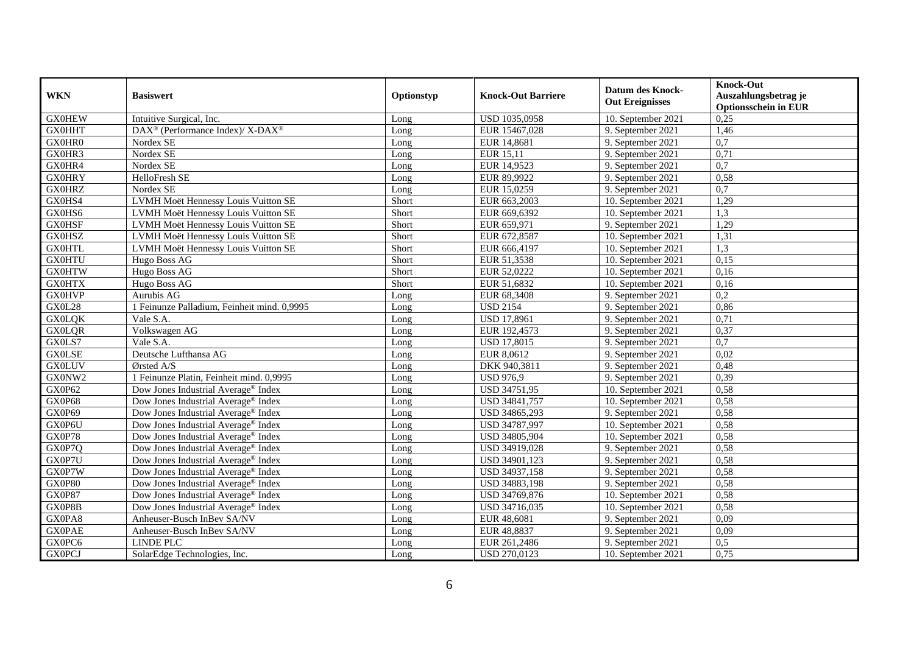| <b>WKN</b>    | <b>Basiswert</b>                                        | Optionstyp | <b>Knock-Out Barriere</b> | <b>Datum des Knock-</b><br><b>Out Ereignisses</b> | <b>Knock-Out</b><br>Auszahlungsbetrag je<br><b>Optionsschein in EUR</b> |
|---------------|---------------------------------------------------------|------------|---------------------------|---------------------------------------------------|-------------------------------------------------------------------------|
| <b>GX0HEW</b> | Intuitive Surgical, Inc.                                | Long       | USD 1035,0958             | 10. September 2021                                | 0,25                                                                    |
| <b>GX0HHT</b> | DAX <sup>®</sup> (Performance Index)/X-DAX <sup>®</sup> | Long       | EUR 15467,028             | 9. September 2021                                 | 1,46                                                                    |
| GX0HR0        | Nordex SE                                               | Long       | EUR 14,8681               | 9. September 2021                                 | $\overline{0,7}$                                                        |
| GX0HR3        | Nordex SE                                               | Long       | <b>EUR 15,11</b>          | 9. September 2021                                 | 0,71                                                                    |
| GX0HR4        | Nordex SE                                               | Long       | EUR 14,9523               | 9. September 2021                                 | 0,7                                                                     |
| <b>GX0HRY</b> | HelloFresh SE                                           | Long       | EUR 89,9922               | 9. September 2021                                 | 0,58                                                                    |
| <b>GX0HRZ</b> | Nordex SE                                               | Long       | EUR 15,0259               | 9. September 2021                                 | 0,7                                                                     |
| GX0HS4        | LVMH Moët Hennessy Louis Vuitton SE                     | Short      | EUR 663,2003              | 10. September 2021                                | 1,29                                                                    |
| GX0HS6        | LVMH Moët Hennessy Louis Vuitton SE                     | Short      | EUR 669,6392              | 10. September 2021                                | 1,3                                                                     |
| <b>GX0HSF</b> | LVMH Moët Hennessy Louis Vuitton SE                     | Short      | EUR 659,971               | 9. September 2021                                 | 1,29                                                                    |
| <b>GX0HSZ</b> | LVMH Moët Hennessy Louis Vuitton SE                     | Short      | EUR 672,8587              | 10. September 2021                                | 1,31                                                                    |
| <b>GX0HTL</b> | LVMH Moët Hennessy Louis Vuitton SE                     | Short      | EUR 666,4197              | 10. September 2021                                | 1,3                                                                     |
| <b>GX0HTU</b> | Hugo Boss AG                                            | Short      | EUR 51,3538               | 10. September 2021                                | 0,15                                                                    |
| <b>GX0HTW</b> | Hugo Boss AG                                            | Short      | EUR 52,0222               | 10. September 2021                                | 0,16                                                                    |
| <b>GX0HTX</b> | Hugo Boss AG                                            | Short      | EUR 51,6832               | 10. September 2021                                | 0,16                                                                    |
| <b>GX0HVP</b> | Aurubis AG                                              | Long       | EUR 68,3408               | 9. September 2021                                 | 0,2                                                                     |
| <b>GX0L28</b> | 1 Feinunze Palladium, Feinheit mind. 0,9995             | Long       | <b>USD 2154</b>           | 9. September 2021                                 | 0,86                                                                    |
| <b>GX0LQK</b> | Vale S.A.                                               | Long       | <b>USD 17.8961</b>        | 9. September 2021                                 | 0,71                                                                    |
| <b>GX0LQR</b> | Volkswagen AG                                           | Long       | EUR 192,4573              | 9. September 2021                                 | 0,37                                                                    |
| GX0LS7        | Vale S.A.                                               | Long       | <b>USD 17,8015</b>        | 9. September 2021                                 | $\overline{0,7}$                                                        |
| <b>GX0LSE</b> | Deutsche Lufthansa AG                                   | Long       | EUR 8,0612                | 9. September 2021                                 | 0,02                                                                    |
| <b>GX0LUV</b> | Ørsted A/S                                              | Long       | DKK 940,3811              | 9. September 2021                                 | 0,48                                                                    |
| GX0NW2        | 1 Feinunze Platin, Feinheit mind. 0,9995                | Long       | <b>USD 976,9</b>          | 9. September 2021                                 | 0,39                                                                    |
| GX0P62        | Dow Jones Industrial Average® Index                     | Long       | USD 34751,95              | $10.$ September 2021                              | 0,58                                                                    |
| GX0P68        | Dow Jones Industrial Average® Index                     | Long       | USD 34841,757             | 10. September 2021                                | 0,58                                                                    |
| GX0P69        | Dow Jones Industrial Average® Index                     | Long       | USD 34865,293             | 9. September 2021                                 | 0,58                                                                    |
| GX0P6U        | Dow Jones Industrial Average® Index                     | Long       | USD 34787,997             | 10. September 2021                                | 0,58                                                                    |
| GX0P78        | Dow Jones Industrial Average <sup>®</sup> Index         | Long       | USD 34805,904             | 10. September 2021                                | 0.58                                                                    |
| GX0P7Q        | Dow Jones Industrial Average <sup>®</sup> Index         | Long       | USD 34919,028             | 9. September 2021                                 | 0,58                                                                    |
| GX0P7U        | Dow Jones Industrial Average <sup>®</sup> Index         | Long       | USD 34901,123             | 9. September 2021                                 | 0,58                                                                    |
| GX0P7W        | Dow Jones Industrial Average® Index                     | Long       | USD 34937,158             | 9. September 2021                                 | 0,58                                                                    |
| GX0P80        | Dow Jones Industrial Average® Index                     | Long       | USD 34883,198             | 9. September 2021                                 | 0,58                                                                    |
| GX0P87        | Dow Jones Industrial Average® Index                     | Long       | USD 34769,876             | 10. September 2021                                | 0,58                                                                    |
| GX0P8B        | Dow Jones Industrial Average® Index                     | Long       | USD 34716,035             | 10. September 2021                                | 0,58                                                                    |
| GX0PA8        | Anheuser-Busch InBev SA/NV                              | Long       | EUR 48,6081               | 9. September 2021                                 | 0,09                                                                    |
| <b>GX0PAE</b> | Anheuser-Busch InBev SA/NV                              | Long       | EUR 48,8837               | 9. September 2021                                 | 0,09                                                                    |
| GX0PC6        | LINDE PLC                                               | Long       | EUR 261,2486              | 9. September 2021                                 | 0,5                                                                     |
| <b>GX0PCJ</b> | SolarEdge Technologies, Inc.                            | Long       | USD 270,0123              | 10. September 2021                                | 0,75                                                                    |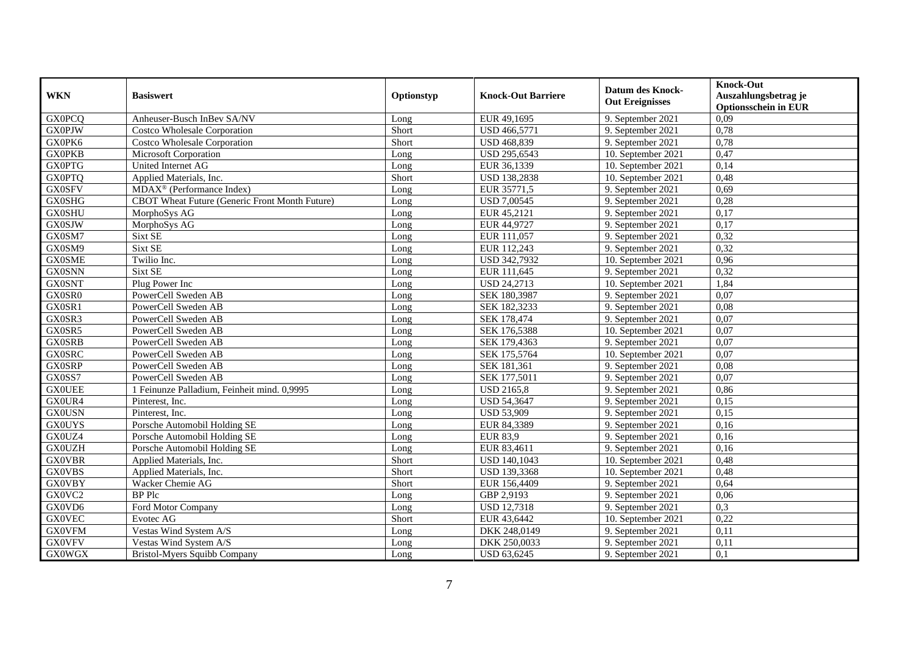| <b>WKN</b>    | <b>Basiswert</b>                               | Optionstyp | <b>Knock-Out Barriere</b> | <b>Datum des Knock-</b><br><b>Out Ereignisses</b> | <b>Knock-Out</b><br>Auszahlungsbetrag je<br><b>Optionsschein in EUR</b> |
|---------------|------------------------------------------------|------------|---------------------------|---------------------------------------------------|-------------------------------------------------------------------------|
| <b>GX0PCQ</b> | Anheuser-Busch InBev SA/NV                     | Long       | EUR 49,1695               | 9. September 2021                                 | 0,09                                                                    |
| <b>GX0PJW</b> | Costco Wholesale Corporation                   | Short      | <b>USD 466,5771</b>       | 9. September 2021                                 | 0,78                                                                    |
| GX0PK6        | <b>Costco Wholesale Corporation</b>            | Short      | <b>USD 468,839</b>        | 9. September 2021                                 | 0,78                                                                    |
| <b>GX0PKB</b> | Microsoft Corporation                          | Long       | USD 295,6543              | 10. September 2021                                | 0,47                                                                    |
| <b>GX0PTG</b> | United Internet AG                             | Long       | EUR 36,1339               | 10. September 2021                                | 0,14                                                                    |
| <b>GX0PTQ</b> | Applied Materials, Inc.                        | Short      | <b>USD 138,2838</b>       | 10. September 2021                                | 0,48                                                                    |
| <b>GX0SFV</b> | MDAX <sup>®</sup> (Performance Index)          | Long       | EUR 35771,5               | 9. September 2021                                 | 0,69                                                                    |
| <b>GX0SHG</b> | CBOT Wheat Future (Generic Front Month Future) | Long       | <b>USD 7,00545</b>        | 9. September 2021                                 | 0,28                                                                    |
| <b>GX0SHU</b> | MorphoSys AG                                   | Long       | EUR 45,2121               | 9. September 2021                                 | 0,17                                                                    |
| <b>GX0SJW</b> | MorphoSys AG                                   | Long       | EUR 44,9727               | 9. September 2021                                 | 0,17                                                                    |
| GX0SM7        | Sixt SE                                        | Long       | EUR 111,057               | 9. September 2021                                 | 0,32                                                                    |
| GX0SM9        | Sixt SE                                        | Long       | EUR 112,243               | 9. September 2021                                 | 0,32                                                                    |
| <b>GX0SME</b> | Twilio Inc.                                    | Long       | USD 342,7932              | 10. September 2021                                | 0,96                                                                    |
| <b>GX0SNN</b> | Sixt SE                                        | Long       | EUR 111,645               | 9. September 2021                                 | 0,32                                                                    |
| <b>GX0SNT</b> | Plug Power Inc                                 | Long       | <b>USD 24,2713</b>        | 10. September 2021                                | 1,84                                                                    |
| GX0SR0        | PowerCell Sweden AB                            | Long       | SEK 180,3987              | 9. September 2021                                 | 0,07                                                                    |
| GX0SR1        | PowerCell Sweden AB                            | Long       | SEK 182,3233              | 9. September 2021                                 | 0,08                                                                    |
| GX0SR3        | PowerCell Sweden AB                            | Long       | SEK 178,474               | 9. September 2021                                 | 0,07                                                                    |
| GX0SR5        | PowerCell Sweden AB                            | Long       | SEK 176,5388              | 10. September 2021                                | 0,07                                                                    |
| <b>GX0SRB</b> | PowerCell Sweden AB                            | Long       | SEK 179,4363              | 9. September 2021                                 | 0,07                                                                    |
| <b>GX0SRC</b> | PowerCell Sweden AB                            | Long       | SEK 175,5764              | 10. September 2021                                | 0,07                                                                    |
| <b>GX0SRP</b> | PowerCell Sweden AB                            | Long       | SEK 181,361               | 9. September 2021                                 | 0,08                                                                    |
| GX0SS7        | PowerCell Sweden AB                            | Long       | SEK 177,5011              | 9. September 2021                                 | 0,07                                                                    |
| <b>GX0UEE</b> | 1 Feinunze Palladium, Feinheit mind. 0,9995    | Long       | <b>USD 2165,8</b>         | 9. September 2021                                 | 0,86                                                                    |
| GX0UR4        | Pinterest, Inc.                                | Long       | <b>USD 54,3647</b>        | 9. September 2021                                 | 0,15                                                                    |
| <b>GX0USN</b> | Pinterest, Inc.                                | Long       | <b>USD 53,909</b>         | 9. September 2021                                 | 0,15                                                                    |
| <b>GX0UYS</b> | Porsche Automobil Holding SE                   | Long       | EUR 84,3389               | 9. September 2021                                 | 0,16                                                                    |
| GX0UZ4        | Porsche Automobil Holding SE                   | Long       | <b>EUR 83,9</b>           | 9. September 2021                                 | 0,16                                                                    |
| <b>GX0UZH</b> | Porsche Automobil Holding SE                   | Long       | EUR 83,4611               | 9. September 2021                                 | 0,16                                                                    |
| <b>GX0VBR</b> | Applied Materials, Inc.                        | Short      | USD 140,1043              | 10. September 2021                                | 0,48                                                                    |
| <b>GX0VBS</b> | Applied Materials, Inc.                        | Short      | USD 139,3368              | 10. September 2021                                | 0,48                                                                    |
| <b>GX0VBY</b> | Wacker Chemie AG                               | Short      | EUR 156,4409              | 9. September 2021                                 | 0,64                                                                    |
| GX0VC2        | <b>BP</b> Plc                                  | Long       | GBP 2,9193                | 9. September 2021                                 | 0,06                                                                    |
| GX0VD6        | Ford Motor Company                             | Long       | <b>USD 12,7318</b>        | 9. September 2021                                 | 0,3                                                                     |
| <b>GX0VEC</b> | Evotec AG                                      | Short      | EUR 43,6442               | 10. September 2021                                | 0,22                                                                    |
| <b>GX0VFM</b> | Vestas Wind System A/S                         | Long       | DKK 248,0149              | 9. September 2021                                 | 0,11                                                                    |
| <b>GX0VFV</b> | Vestas Wind System A/S                         | Long       | DKK 250,0033              | 9. September 2021                                 | 0,11                                                                    |
| <b>GX0WGX</b> | Bristol-Myers Squibb Company                   | Long       | USD 63,6245               | 9. September 2021                                 | 0,1                                                                     |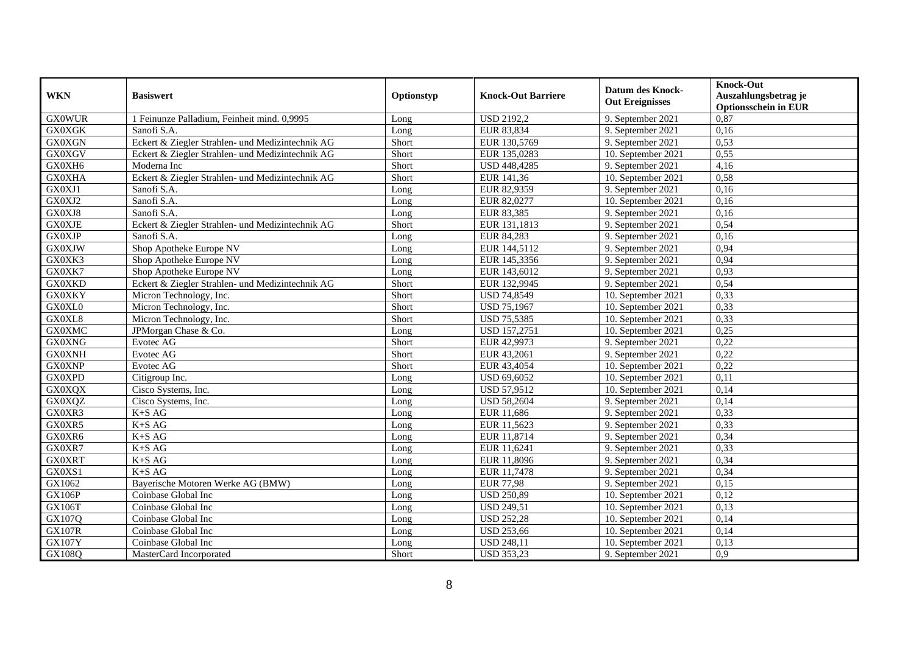| <b>WKN</b>    | <b>Basiswert</b>                                 | Optionstyp | <b>Knock-Out Barriere</b> | <b>Datum des Knock-</b><br><b>Out Ereignisses</b> | <b>Knock-Out</b><br>Auszahlungsbetrag je<br><b>Optionsschein in EUR</b> |
|---------------|--------------------------------------------------|------------|---------------------------|---------------------------------------------------|-------------------------------------------------------------------------|
| <b>GX0WUR</b> | 1 Feinunze Palladium, Feinheit mind. 0,9995      | Long       | <b>USD 2192,2</b>         | 9. September 2021                                 | 0,87                                                                    |
| <b>GX0XGK</b> | Sanofi S.A.                                      | Long       | EUR 83,834                | 9. September 2021                                 | 0,16                                                                    |
| <b>GX0XGN</b> | Eckert & Ziegler Strahlen- und Medizintechnik AG | Short      | EUR 130,5769              | 9. September 2021                                 | 0,53                                                                    |
| <b>GX0XGV</b> | Eckert & Ziegler Strahlen- und Medizintechnik AG | Short      | EUR 135,0283              | 10. September 2021                                | 0,55                                                                    |
| GX0XH6        | Moderna Inc                                      | Short      | USD 448,4285              | 9. September 2021                                 | 4,16                                                                    |
| <b>GX0XHA</b> | Eckert & Ziegler Strahlen- und Medizintechnik AG | Short      | EUR 141,36                | 10. September 2021                                | 0,58                                                                    |
| GX0XJ1        | Sanofi S.A.                                      | Long       | EUR 82,9359               | 9. September 2021                                 | 0,16                                                                    |
| GX0XJ2        | Sanofi S.A.                                      | Long       | EUR 82,0277               | 10. September 2021                                | 0,16                                                                    |
| GX0XJ8        | Sanofi S.A.                                      | Long       | EUR 83,385                | 9. September 2021                                 | 0,16                                                                    |
| <b>GX0XJE</b> | Eckert & Ziegler Strahlen- und Medizintechnik AG | Short      | EUR 131,1813              | 9. September 2021                                 | 0,54                                                                    |
| <b>GX0XJP</b> | Sanofi S.A.                                      | Long       | EUR 84,283                | 9. September 2021                                 | 0,16                                                                    |
| <b>GX0XJW</b> | Shop Apotheke Europe NV                          | Long       | EUR 144,5112              | 9. September 2021                                 | 0,94                                                                    |
| GX0XK3        | Shop Apotheke Europe NV                          | Long       | EUR 145,3356              | 9. September 2021                                 | 0,94                                                                    |
| GX0XK7        | Shop Apotheke Europe NV                          | Long       | EUR 143,6012              | 9. September 2021                                 | 0,93                                                                    |
| <b>GX0XKD</b> | Eckert & Ziegler Strahlen- und Medizintechnik AG | Short      | EUR 132,9945              | 9. September 2021                                 | 0,54                                                                    |
| <b>GX0XKY</b> | Micron Technology, Inc.                          | Short      | <b>USD 74,8549</b>        | 10. September 2021                                | 0,33                                                                    |
| GX0XL0        | Micron Technology, Inc.                          | Short      | <b>USD 75,1967</b>        | 10. September 2021                                | 0,33                                                                    |
| GX0XL8        | Micron Technology, Inc.                          | Short      | <b>USD 75,5385</b>        | 10. September 2021                                | 0,33                                                                    |
| <b>GX0XMC</b> | JPMorgan Chase & Co.                             | Long       | <b>USD 157,2751</b>       | 10. September 2021                                | 0,25                                                                    |
| <b>GX0XNG</b> | Evotec AG                                        | Short      | EUR 42,9973               | 9. September 2021                                 | 0,22                                                                    |
| <b>GX0XNH</b> | Evotec AG                                        | Short      | EUR 43,2061               | 9. September 2021                                 | 0,22                                                                    |
| <b>GX0XNP</b> | Evotec AG                                        | Short      | EUR 43,4054               | 10. September 2021                                | 0,22                                                                    |
| <b>GX0XPD</b> | Citigroup Inc.                                   | Long       | <b>USD 69,6052</b>        | 10. September 2021                                | 0,11                                                                    |
| <b>GX0XQX</b> | Cisco Systems, Inc.                              | Long       | <b>USD 57,9512</b>        | 10. September 2021                                | 0,14                                                                    |
| GX0XQZ        | Cisco Systems, Inc.                              | Long       | <b>USD 58,2604</b>        | 9. September 2021                                 | 0,14                                                                    |
| GX0XR3        | $K+SAG$                                          | Long       | EUR 11,686                | 9. September 2021                                 | 0,33                                                                    |
| GX0XR5        | $K+SAG$                                          | Long       | EUR 11,5623               | 9. September 2021                                 | 0,33                                                                    |
| GX0XR6        | $K+SAG$                                          | Long       | EUR 11,8714               | 9. September 2021                                 | 0,34                                                                    |
| GX0XR7        | $K+SAG$                                          | Long       | EUR 11,6241               | 9. September 2021                                 | 0,33                                                                    |
| <b>GX0XRT</b> | $K+SAG$                                          | Long       | EUR 11,8096               | 9. September 2021                                 | 0,34                                                                    |
| GX0XS1        | $K+SAG$                                          | Long       | EUR 11,7478               | 9. September 2021                                 | 0,34                                                                    |
| GX1062        | Bayerische Motoren Werke AG (BMW)                | Long       | <b>EUR 77,98</b>          | 9. September 2021                                 | 0,15                                                                    |
| <b>GX106P</b> | Coinbase Global Inc                              | Long       | <b>USD 250,89</b>         | 10. September 2021                                | 0,12                                                                    |
| <b>GX106T</b> | Coinbase Global Inc                              | Long       | <b>USD 249,51</b>         | 10. September 2021                                | 0,13                                                                    |
| GX107Q        | Coinbase Global Inc                              | Long       | <b>USD 252,28</b>         | 10. September 2021                                | 0,14                                                                    |
| <b>GX107R</b> | Coinbase Global Inc                              | Long       | <b>USD 253,66</b>         | 10. September 2021                                | 0,14                                                                    |
| <b>GX107Y</b> | Coinbase Global Inc                              | Long       | <b>USD 248,11</b>         | 10. September 2021                                | 0,13                                                                    |
| GX108Q        | MasterCard Incorporated                          | Short      | <b>USD 353,23</b>         | 9. September 2021                                 | 0,9                                                                     |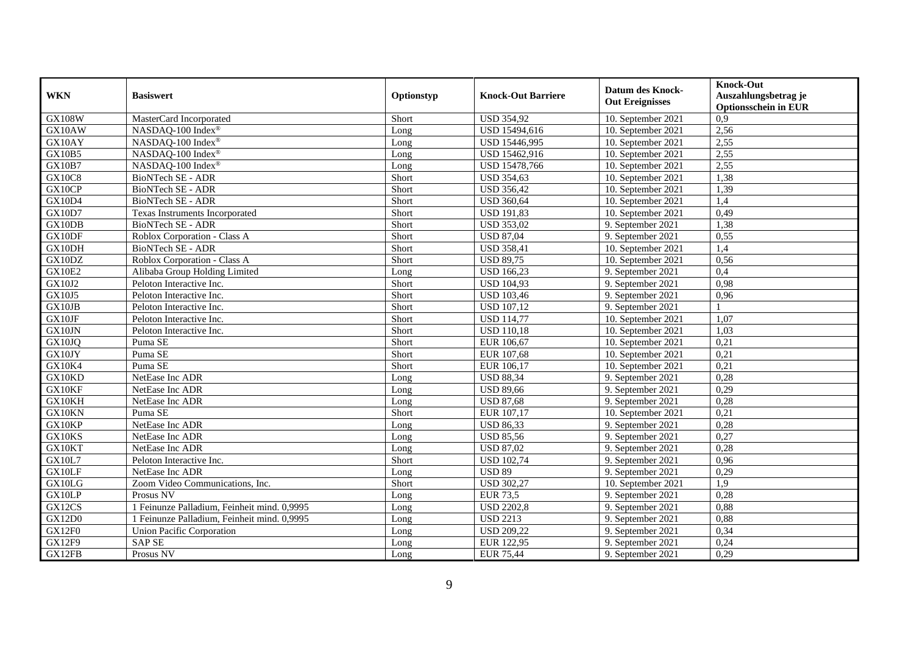| <b>WKN</b>    | <b>Basiswert</b>                            | Optionstyp | <b>Knock-Out Barriere</b> | <b>Datum des Knock-</b><br><b>Out Ereignisses</b> | <b>Knock-Out</b><br>Auszahlungsbetrag je<br><b>Optionsschein in EUR</b> |
|---------------|---------------------------------------------|------------|---------------------------|---------------------------------------------------|-------------------------------------------------------------------------|
| <b>GX108W</b> | MasterCard Incorporated                     | Short      | <b>USD 354,92</b>         | 10. September 2021                                | $\overline{0,9}$                                                        |
| GX10AW        | NASDAQ-100 Index®                           | Long       | USD 15494,616             | 10. September 2021                                | 2,56                                                                    |
| GX10AY        | NASDAQ-100 Index®                           | Long       | USD 15446,995             | 10. September 2021                                | 2,55                                                                    |
| GX10B5        | NASDAQ-100 Index®                           | Long       | USD 15462,916             | 10. September 2021                                | 2,55                                                                    |
| GX10B7        | NASDAQ-100 Index®                           | Long       | USD 15478,766             | 10. September 2021                                | 2,55                                                                    |
| <b>GX10C8</b> | BioNTech SE - ADR                           | Short      | <b>USD 354,63</b>         | 10. September 2021                                | 1,38                                                                    |
| GX10CP        | BioNTech SE - ADR                           | Short      | <b>USD 356,42</b>         | 10. September 2021                                | 1,39                                                                    |
| GX10D4        | BioNTech SE - ADR                           | Short      | <b>USD 360,64</b>         | 10. September 2021                                | 1,4                                                                     |
| GX10D7        | Texas Instruments Incorporated              | Short      | <b>USD 191,83</b>         | 10. September 2021                                | 0,49                                                                    |
| GX10DB        | BioNTech SE - ADR                           | Short      | <b>USD 353,02</b>         | 9. September 2021                                 | 1,38                                                                    |
| GX10DF        | Roblox Corporation - Class A                | Short      | <b>USD 87,04</b>          | 9. September 2021                                 | 0,55                                                                    |
| GX10DH        | BioNTech SE - ADR                           | Short      | <b>USD 358,41</b>         | 10. September 2021                                | 1,4                                                                     |
| GX10DZ        | Roblox Corporation - Class A                | Short      | <b>USD 89,75</b>          | 10. September 2021                                | 0,56                                                                    |
| <b>GX10E2</b> | Alibaba Group Holding Limited               | Long       | <b>USD 166,23</b>         | 9. September 2021                                 | 0,4                                                                     |
| GX10J2        | Peloton Interactive Inc.                    | Short      | <b>USD 104,93</b>         | 9. September 2021                                 | 0,98                                                                    |
| <b>GX10J5</b> | Peloton Interactive Inc.                    | Short      | <b>USD 103,46</b>         | 9. September 2021                                 | 0,96                                                                    |
| GX10JB        | Peloton Interactive Inc.                    | Short      | <b>USD 107,12</b>         | 9. September 2021                                 |                                                                         |
| GX10JF        | Peloton Interactive Inc.                    | Short      | <b>USD 114,77</b>         | 10. September 2021                                | 1,07                                                                    |
| GX10JN        | Peloton Interactive Inc.                    | Short      | <b>USD 110,18</b>         | 10. September 2021                                | 1,03                                                                    |
| GX10JQ        | Puma SE                                     | Short      | EUR 106,67                | 10. September 2021                                | 0,21                                                                    |
| GX10JY        | Puma SE                                     | Short      | EUR 107,68                | 10. September 2021                                | 0,21                                                                    |
| GX10K4        | Puma SE                                     | Short      | EUR 106,17                | 10. September 2021                                | 0,21                                                                    |
| GX10KD        | NetEase Inc ADR                             | Long       | <b>USD 88,34</b>          | 9. September 2021                                 | 0,28                                                                    |
| GX10KF        | NetEase Inc ADR                             | Long       | <b>USD 89,66</b>          | 9. September 2021                                 | 0,29                                                                    |
| GX10KH        | NetEase Inc ADR                             | Long       | <b>USD 87,68</b>          | 9. September 2021                                 | 0,28                                                                    |
| GX10KN        | Puma SE                                     | Short      | EUR 107,17                | 10. September 2021                                | 0,21                                                                    |
| GX10KP        | NetEase Inc ADR                             | Long       | <b>USD 86,33</b>          | 9. September 2021                                 | 0,28                                                                    |
| GX10KS        | NetEase Inc ADR                             | Long       | <b>USD 85,56</b>          | 9. September 2021                                 | 0,27                                                                    |
| GX10KT        | NetEase Inc ADR                             | Long       | <b>USD 87,02</b>          | 9. September 2021                                 | 0,28                                                                    |
| GX10L7        | Peloton Interactive Inc.                    | Short      | <b>USD 102,74</b>         | 9. September 2021                                 | 0,96                                                                    |
| GX10LF        | NetEase Inc ADR                             | Long       | <b>USD 89</b>             | 9. September 2021                                 | 0,29                                                                    |
| GX10LG        | Zoom Video Communications, Inc.             | Short      | <b>USD 302,27</b>         | 10. September 2021                                | $\overline{1,9}$                                                        |
| GX10LP        | Prosus NV                                   | Long       | <b>EUR 73,5</b>           | 9. September 2021                                 | 0,28                                                                    |
| GX12CS        | 1 Feinunze Palladium, Feinheit mind. 0,9995 | Long       | <b>USD 2202,8</b>         | 9. September 2021                                 | 0,88                                                                    |
| <b>GX12D0</b> | 1 Feinunze Palladium, Feinheit mind. 0,9995 | Long       | <b>USD 2213</b>           | 9. September 2021                                 | 0,88                                                                    |
| GX12F0        | <b>Union Pacific Corporation</b>            | Long       | <b>USD 209,22</b>         | 9. September 2021                                 | 0,34                                                                    |
| GX12F9        | <b>SAP SE</b>                               | Long       | EUR 122,95                | 9. September 2021                                 | 0,24                                                                    |
| GX12FB        | Prosus NV                                   | Long       | <b>EUR 75,44</b>          | 9. September 2021                                 | 0,29                                                                    |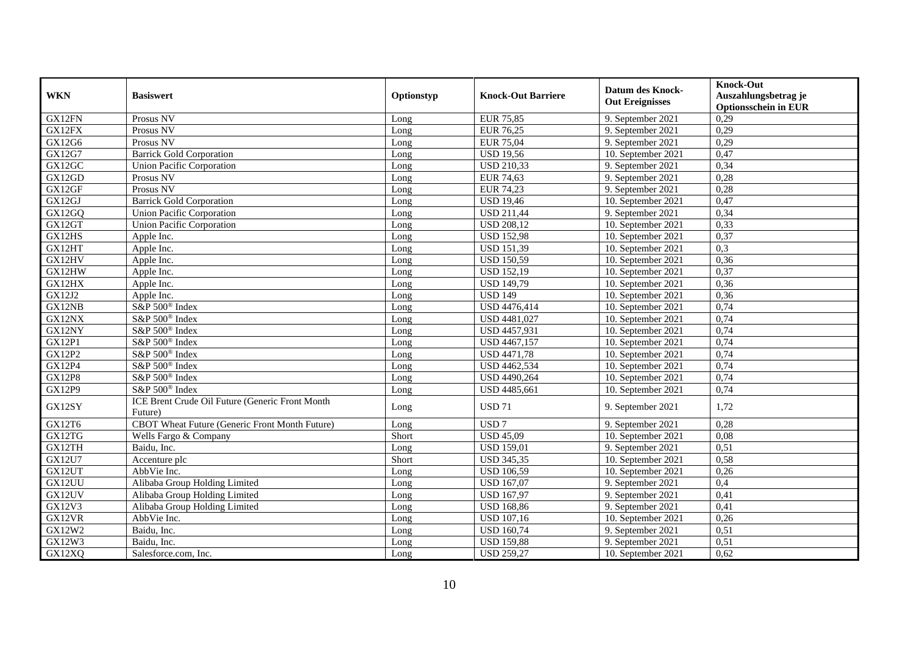|               |                                                            |            |                           |                         | <b>Knock-Out</b>            |
|---------------|------------------------------------------------------------|------------|---------------------------|-------------------------|-----------------------------|
| <b>WKN</b>    | <b>Basiswert</b>                                           | Optionstyp | <b>Knock-Out Barriere</b> | <b>Datum des Knock-</b> | Auszahlungsbetrag je        |
|               |                                                            |            |                           | <b>Out Ereignisses</b>  | <b>Optionsschein in EUR</b> |
| GX12FN        | Prosus NV                                                  | Long       | <b>EUR 75,85</b>          | 9. September 2021       | 0,29                        |
| GX12FX        | Prosus NV                                                  | Long       | <b>EUR 76,25</b>          | 9. September 2021       | 0,29                        |
| GX12G6        | Prosus NV                                                  | Long       | <b>EUR 75,04</b>          | 9. September 2021       | 0,29                        |
| GX12G7        | <b>Barrick Gold Corporation</b>                            | Long       | <b>USD 19,56</b>          | 10. September 2021      | 0,47                        |
| GX12GC        | <b>Union Pacific Corporation</b>                           | Long       | <b>USD 210,33</b>         | 9. September 2021       | 0,34                        |
| GX12GD        | Prosus NV                                                  | Long       | <b>EUR 74,63</b>          | 9. September 2021       | 0,28                        |
| GX12GF        | Prosus NV                                                  | Long       | <b>EUR 74,23</b>          | 9. September 2021       | 0,28                        |
| GX12GJ        | <b>Barrick Gold Corporation</b>                            | Long       | <b>USD 19,46</b>          | 10. September 2021      | 0,47                        |
| GX12GQ        | <b>Union Pacific Corporation</b>                           | Long       | <b>USD 211,44</b>         | 9. September 2021       | 0,34                        |
| GX12GT        | <b>Union Pacific Corporation</b>                           | Long       | <b>USD 208,12</b>         | 10. September 2021      | 0,33                        |
| GX12HS        | Apple Inc.                                                 | Long       | <b>USD 152,98</b>         | 10. September 2021      | 0,37                        |
| GX12HT        | Apple Inc.                                                 | Long       | <b>USD 151,39</b>         | 10. September 2021      | 0,3                         |
| GX12HV        | Apple Inc.                                                 | Long       | <b>USD 150,59</b>         | 10. September 2021      | 0,36                        |
| GX12HW        | Apple Inc.                                                 | Long       | <b>USD 152,19</b>         | 10. September 2021      | 0,37                        |
| GX12HX        | Apple Inc.                                                 | Long       | <b>USD 149,79</b>         | 10. September 2021      | 0,36                        |
| GX12J2        | Apple Inc.                                                 | Long       | <b>USD 149</b>            | 10. September 2021      | 0,36                        |
| GX12NB        | S&P 500 <sup>®</sup> Index                                 | Long       | USD 4476,414              | 10. September 2021      | 0,74                        |
| GX12NX        | S&P 500 <sup>®</sup> Index                                 | Long       | USD 4481,027              | 10. September 2021      | 0,74                        |
| GX12NY        | S&P 500 <sup>®</sup> Index                                 | Long       | USD 4457,931              | 10. September 2021      | 0,74                        |
| <b>GX12P1</b> | S&P 500 <sup>®</sup> Index                                 | Long       | USD 4467,157              | 10. September 2021      | 0,74                        |
| <b>GX12P2</b> | S&P 500 <sup>®</sup> Index                                 | Long       | <b>USD 4471,78</b>        | 10. September 2021      | 0,74                        |
| <b>GX12P4</b> | S&P 500 <sup>®</sup> Index                                 | Long       | USD 4462,534              | 10. September 2021      | 0,74                        |
| <b>GX12P8</b> | S&P 500 <sup>®</sup> Index                                 | Long       | USD 4490,264              | 10. September 2021      | 0,74                        |
| GX12P9        | S&P 500 <sup>®</sup> Index                                 | Long       | USD 4485,661              | 10. September 2021      | 0,74                        |
| GX12SY        | ICE Brent Crude Oil Future (Generic Front Month<br>Future) | Long       | <b>USD 71</b>             | 9. September 2021       | 1,72                        |
| GX12T6        | <b>CBOT Wheat Future (Generic Front Month Future)</b>      | Long       | USD 7                     | 9. September 2021       | 0,28                        |
| GX12TG        | Wells Fargo & Company                                      | Short      | <b>USD 45,09</b>          | 10. September 2021      | 0,08                        |
| GX12TH        | Baidu, Inc.                                                | Long       | <b>USD 159,01</b>         | 9. September 2021       | 0,51                        |
| GX12U7        | Accenture plc                                              | Short      | <b>USD 345,35</b>         | 10. September 2021      | 0,58                        |
| GX12UT        | AbbVie Inc.                                                | Long       | <b>USD 106,59</b>         | 10. September 2021      | 0,26                        |
| GX12UU        | Alibaba Group Holding Limited                              | Long       | <b>USD 167,07</b>         | 9. September 2021       | 0,4                         |
| GX12UV        | Alibaba Group Holding Limited                              | Long       | <b>USD 167,97</b>         | 9. September 2021       | 0,41                        |
| GX12V3        | Alibaba Group Holding Limited                              | Long       | <b>USD 168,86</b>         | 9. September 2021       | 0,41                        |
| GX12VR        | AbbVie Inc.                                                | Long       | <b>USD 107,16</b>         | 10. September 2021      | 0,26                        |
| GX12W2        | Baidu, Inc.                                                | Long       | <b>USD 160,74</b>         | 9. September 2021       | 0,51                        |
| GX12W3        | Baidu, Inc.                                                | Long       | <b>USD 159,88</b>         | 9. September 2021       | 0,51                        |
| GX12XQ        | Salesforce.com, Inc.                                       | Long       | <b>USD 259,27</b>         | 10. September 2021      | 0,62                        |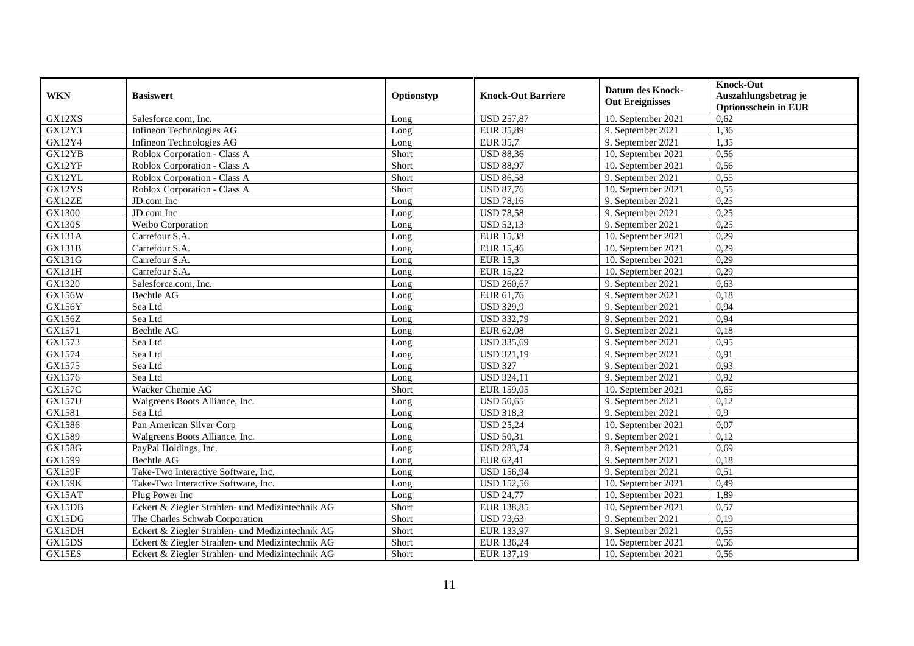| <b>WKN</b>    | <b>Basiswert</b>                                 | Optionstyp | <b>Knock-Out Barriere</b> | <b>Datum des Knock-</b><br><b>Out Ereignisses</b> | <b>Knock-Out</b><br>Auszahlungsbetrag je<br><b>Optionsschein in EUR</b> |
|---------------|--------------------------------------------------|------------|---------------------------|---------------------------------------------------|-------------------------------------------------------------------------|
| GX12XS        | Salesforce.com. Inc.                             | Long       | <b>USD 257,87</b>         | 10. September 2021                                | 0,62                                                                    |
| GX12Y3        | Infineon Technologies AG                         | Long       | <b>EUR 35,89</b>          | 9. September 2021                                 | 1,36                                                                    |
| GX12Y4        | Infineon Technologies AG                         | Long       | <b>EUR 35,7</b>           | 9. September 2021                                 | 1,35                                                                    |
| GX12YB        | Roblox Corporation - Class A                     | Short      | <b>USD 88,36</b>          | 10. September 2021                                | 0,56                                                                    |
| GX12YF        | Roblox Corporation - Class A                     | Short      | <b>USD 88,97</b>          | 10. September 2021                                | 0,56                                                                    |
| GX12YL        | Roblox Corporation - Class A                     | Short      | <b>USD 86,58</b>          | 9. September 2021                                 | 0,55                                                                    |
| GX12YS        | Roblox Corporation - Class A                     | Short      | <b>USD 87,76</b>          | 10. September 2021                                | 0,55                                                                    |
| GX12ZE        | JD.com Inc                                       | Long       | <b>USD 78,16</b>          | 9. September 2021                                 | 0,25                                                                    |
| GX1300        | JD.com Inc                                       | Long       | <b>USD 78,58</b>          | 9. September 2021                                 | 0,25                                                                    |
| <b>GX130S</b> | Weibo Corporation                                | Long       | <b>USD 52,13</b>          | 9. September 2021                                 | 0,25                                                                    |
| <b>GX131A</b> | Carrefour S.A.                                   | Long       | <b>EUR 15,38</b>          | 10. September 2021                                | 0,29                                                                    |
| <b>GX131B</b> | Carrefour S.A.                                   | Long       | <b>EUR 15,46</b>          | 10. September 2021                                | 0,29                                                                    |
| GX131G        | Carrefour S.A.                                   | Long       | <b>EUR 15,3</b>           | 10. September 2021                                | 0,29                                                                    |
| GX131H        | Carrefour S.A.                                   | Long       | <b>EUR 15,22</b>          | 10. September 2021                                | 0,29                                                                    |
| GX1320        | Salesforce.com, Inc.                             | Long       | <b>USD 260,67</b>         | 9. September 2021                                 | 0,63                                                                    |
| <b>GX156W</b> | <b>Bechtle AG</b>                                | Long       | EUR 61,76                 | 9. September 2021                                 | 0,18                                                                    |
| <b>GX156Y</b> | Sea Ltd                                          | Long       | <b>USD 329,9</b>          | 9. September 2021                                 | 0,94                                                                    |
| GX156Z        | Sea Ltd                                          | Long       | <b>USD 332,79</b>         | 9. September 2021                                 | 0,94                                                                    |
| GX1571        | <b>Bechtle AG</b>                                | Long       | EUR 62,08                 | 9. September 2021                                 | 0,18                                                                    |
| GX1573        | Sea Ltd                                          | Long       | USD 335,69                | 9. September 2021                                 | 0,95                                                                    |
| GX1574        | Sea Ltd                                          | Long       | <b>USD 321,19</b>         | 9. September 2021                                 | 0.91                                                                    |
| GX1575        | Sea Ltd                                          | Long       | <b>USD 327</b>            | 9. September 2021                                 | 0,93                                                                    |
| GX1576        | Sea Ltd                                          | Long       | <b>USD 324,11</b>         | 9. September 2021                                 | 0,92                                                                    |
| <b>GX157C</b> | Wacker Chemie AG                                 | Short      | EUR 159,05                | 10. September 2021                                | 0,65                                                                    |
| GX157U        | Walgreens Boots Alliance, Inc.                   | Long       | <b>USD 50,65</b>          | 9. September 2021                                 | 0,12                                                                    |
| GX1581        | Sea Ltd                                          | Long       | <b>USD 318,3</b>          | 9. September 2021                                 | 0,9                                                                     |
| GX1586        | Pan American Silver Corp                         | Long       | <b>USD 25,24</b>          | 10. September 2021                                | 0,07                                                                    |
| GX1589        | Walgreens Boots Alliance, Inc.                   | Long       | <b>USD 50,31</b>          | 9. September 2021                                 | 0,12                                                                    |
| <b>GX158G</b> | PayPal Holdings, Inc.                            | Long       | <b>USD 283,74</b>         | 8. September 2021                                 | 0,69                                                                    |
| GX1599        | <b>Bechtle AG</b>                                | Long       | EUR 62,41                 | 9. September 2021                                 | 0,18                                                                    |
| <b>GX159F</b> | Take-Two Interactive Software, Inc.              | Long       | <b>USD 156,94</b>         | 9. September 2021                                 | 0,51                                                                    |
| <b>GX159K</b> | Take-Two Interactive Software, Inc.              | Long       | <b>USD 152,56</b>         | 10. September 2021                                | 0,49                                                                    |
| GX15AT        | Plug Power Inc                                   | Long       | <b>USD 24,77</b>          | 10. September 2021                                | 1,89                                                                    |
| GX15DB        | Eckert & Ziegler Strahlen- und Medizintechnik AG | Short      | EUR 138,85                | 10. September 2021                                | 0,57                                                                    |
| GX15DG        | The Charles Schwab Corporation                   | Short      | <b>USD 73,63</b>          | 9. September 2021                                 | 0,19                                                                    |
| GX15DH        | Eckert & Ziegler Strahlen- und Medizintechnik AG | Short      | EUR 133,97                | 9. September 2021                                 | 0,55                                                                    |
| GX15DS        | Eckert & Ziegler Strahlen- und Medizintechnik AG | Short      | EUR 136,24                | 10. September 2021                                | 0,56                                                                    |
| GX15ES        | Eckert & Ziegler Strahlen- und Medizintechnik AG | Short      | EUR 137,19                | 10. September 2021                                | 0,56                                                                    |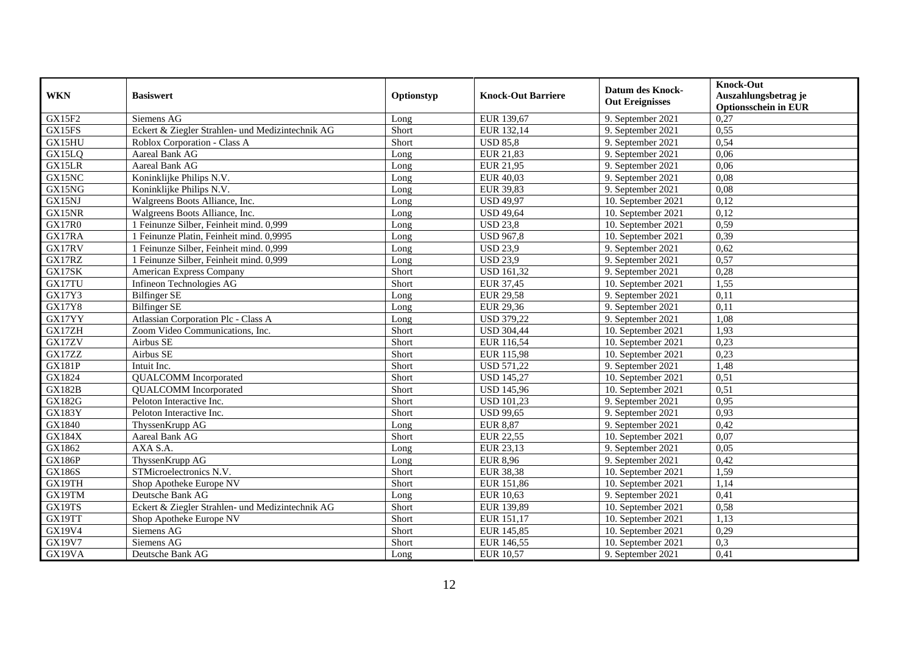| <b>WKN</b>    | <b>Basiswert</b>                                 | Optionstyp | <b>Knock-Out Barriere</b> | <b>Datum des Knock-</b><br><b>Out Ereignisses</b> | <b>Knock-Out</b><br>Auszahlungsbetrag je<br><b>Optionsschein in EUR</b> |
|---------------|--------------------------------------------------|------------|---------------------------|---------------------------------------------------|-------------------------------------------------------------------------|
| GX15F2        | Siemens AG                                       | Long       | EUR 139,67                | 9. September 2021                                 | 0,27                                                                    |
| GX15FS        | Eckert & Ziegler Strahlen- und Medizintechnik AG | Short      | EUR 132,14                | 9. September 2021                                 | 0,55                                                                    |
| GX15HU        | Roblox Corporation - Class A                     | Short      | <b>USD 85.8</b>           | 9. September 2021                                 | 0,54                                                                    |
| GX15LQ        | Aareal Bank AG                                   | Long       | EUR 21,83                 | 9. September 2021                                 | 0,06                                                                    |
| GX15LR        | Aareal Bank AG                                   | Long       | <b>EUR 21,95</b>          | 9. September 2021                                 | 0,06                                                                    |
| GX15NC        | Koninklijke Philips N.V.                         | Long       | EUR 40,03                 | 9. September 2021                                 | 0,08                                                                    |
| GX15NG        | Koninklijke Philips N.V.                         | Long       | <b>EUR 39,83</b>          | 9. September 2021                                 | 0.08                                                                    |
| GX15NJ        | Walgreens Boots Alliance, Inc.                   | Long       | <b>USD 49,97</b>          | 10. September 2021                                | 0,12                                                                    |
| GX15NR        | Walgreens Boots Alliance, Inc.                   | Long       | <b>USD 49,64</b>          | 10. September 2021                                | 0,12                                                                    |
| GX17R0        | 1 Feinunze Silber, Feinheit mind. 0,999          | Long       | <b>USD 23,8</b>           | 10. September 2021                                | 0,59                                                                    |
| GX17RA        | 1 Feinunze Platin, Feinheit mind. 0,9995         | Long       | <b>USD 967,8</b>          | 10. September 2021                                | 0,39                                                                    |
| GX17RV        | 1 Feinunze Silber, Feinheit mind. 0,999          | Long       | <b>USD 23,9</b>           | 9. September 2021                                 | 0,62                                                                    |
| GX17RZ        | 1 Feinunze Silber, Feinheit mind. 0,999          | Long       | <b>USD 23,9</b>           | 9. September 2021                                 | 0,57                                                                    |
| GX17SK        | <b>American Express Company</b>                  | Short      | <b>USD 161,32</b>         | 9. September 2021                                 | 0,28                                                                    |
| GX17TU        | Infineon Technologies AG                         | Short      | <b>EUR 37,45</b>          | 10. September 2021                                | 1,55                                                                    |
| GX17Y3        | <b>Bilfinger SE</b>                              | Long       | <b>EUR 29,58</b>          | 9. September 2021                                 | 0,11                                                                    |
| <b>GX17Y8</b> | <b>Bilfinger SE</b>                              | Long       | <b>EUR 29,36</b>          | 9. September 2021                                 | 0,11                                                                    |
| GX17YY        | Atlassian Corporation Plc - Class A              | Long       | <b>USD 379,22</b>         | 9. September 2021                                 | 1.08                                                                    |
| GX17ZH        | Zoom Video Communications, Inc.                  | Short      | <b>USD 304,44</b>         | 10. September 2021                                | 1,93                                                                    |
| GX17ZV        | Airbus SE                                        | Short      | EUR 116,54                | 10. September 2021                                | 0,23                                                                    |
| GX17ZZ        | Airbus SE                                        | Short      | <b>EUR 115,98</b>         | 10. September 2021                                | 0,23                                                                    |
| GX181P        | Intuit Inc.                                      | Short      | <b>USD 571,22</b>         | 9. September 2021                                 | 1,48                                                                    |
| GX1824        | <b>QUALCOMM</b> Incorporated                     | Short      | <b>USD 145,27</b>         | 10. September 2021                                | 0,51                                                                    |
| <b>GX182B</b> | <b>QUALCOMM</b> Incorporated                     | Short      | <b>USD 145,96</b>         | 10. September 2021                                | 0,51                                                                    |
| <b>GX182G</b> | Peloton Interactive Inc.                         | Short      | <b>USD 101,23</b>         | 9. September 2021                                 | 0,95                                                                    |
| <b>GX183Y</b> | Peloton Interactive Inc.                         | Short      | <b>USD 99,65</b>          | 9. September 2021                                 | 0,93                                                                    |
| GX1840        | ThyssenKrupp AG                                  | Long       | <b>EUR 8,87</b>           | 9. September 2021                                 | 0,42                                                                    |
| GX184X        | Aareal Bank AG                                   | Short      | <b>EUR 22,55</b>          | 10. September 2021                                | 0,07                                                                    |
| GX1862        | AXA S.A.                                         | Long       | EUR 23,13                 | 9. September 2021                                 | 0,05                                                                    |
| <b>GX186P</b> | ThyssenKrupp AG                                  | Long       | <b>EUR 8,96</b>           | 9. September 2021                                 | 0,42                                                                    |
| GX186S        | STMicroelectronics N.V.                          | Short      | <b>EUR 38,38</b>          | 10. September 2021                                | 1,59                                                                    |
| GX19TH        | Shop Apotheke Europe NV                          | Short      | EUR 151,86                | 10. September 2021                                | 1,14                                                                    |
| GX19TM        | Deutsche Bank AG                                 | Long       | <b>EUR 10,63</b>          | 9. September 2021                                 | 0,41                                                                    |
| GX19TS        | Eckert & Ziegler Strahlen- und Medizintechnik AG | Short      | EUR 139,89                | 10. September 2021                                | 0,58                                                                    |
| GX19TT        | Shop Apotheke Europe NV                          | Short      | EUR 151,17                | 10. September 2021                                | 1,13                                                                    |
| GX19V4        | Siemens AG                                       | Short      | EUR 145,85                | 10. September 2021                                | 0,29                                                                    |
| <b>GX19V7</b> | Siemens AG                                       | Short      | EUR 146,55                | 10. September 2021                                | 0,3                                                                     |
| GX19VA        | Deutsche Bank AG                                 | Long       | <b>EUR 10,57</b>          | 9. September 2021                                 | 0,41                                                                    |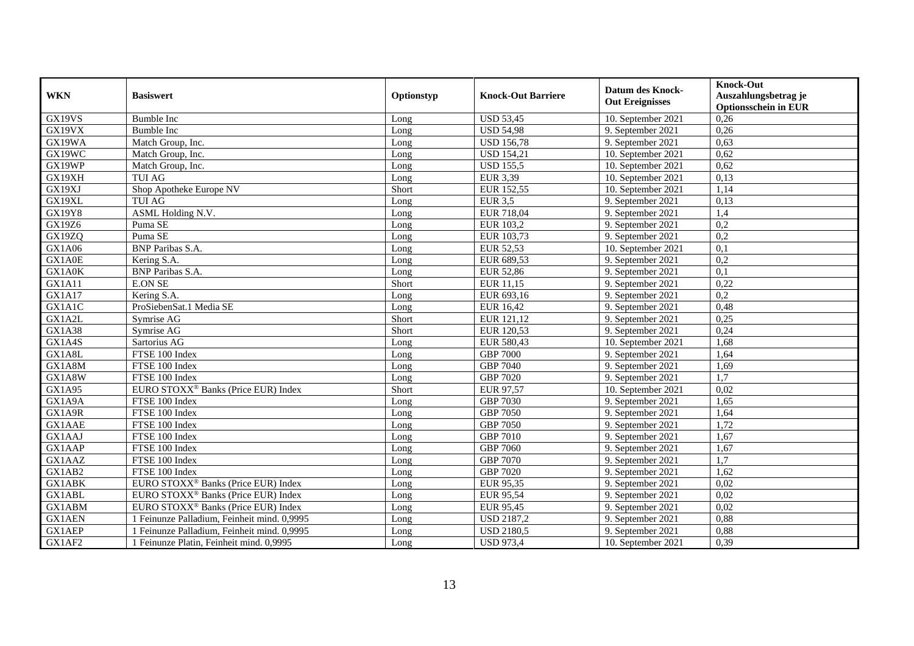| <b>WKN</b>    | <b>Basiswert</b>                                | Optionstyp | <b>Knock-Out Barriere</b> | <b>Datum des Knock-</b><br><b>Out Ereignisses</b> | <b>Knock-Out</b><br>Auszahlungsbetrag je<br><b>Optionsschein in EUR</b> |
|---------------|-------------------------------------------------|------------|---------------------------|---------------------------------------------------|-------------------------------------------------------------------------|
| GX19VS        | <b>Bumble Inc</b>                               | Long       | <b>USD 53,45</b>          | 10. September 2021                                | 0,26                                                                    |
| GX19VX        | <b>Bumble Inc</b>                               | Long       | $\overline{USD 54,}98$    | 9. September 2021                                 | 0,26                                                                    |
| GX19WA        | Match Group, Inc.                               | Long       | <b>USD 156,78</b>         | 9. September 2021                                 | 0,63                                                                    |
| GX19WC        | Match Group, Inc.                               | Long       | <b>USD 154,21</b>         | 10. September 2021                                | 0,62                                                                    |
| GX19WP        | Match Group, Inc.                               | Long       | <b>USD 155,5</b>          | 10. September 2021                                | 0,62                                                                    |
| GX19XH        | <b>TUI AG</b>                                   | Long       | <b>EUR 3,39</b>           | 10. September 2021                                | 0,13                                                                    |
| GX19XJ        | Shop Apotheke Europe NV                         | Short      | EUR 152,55                | 10. September 2021                                | 1,14                                                                    |
| GX19XL        | <b>TUI AG</b>                                   | Long       | <b>EUR 3,5</b>            | 9. September 2021                                 | 0,13                                                                    |
| <b>GX19Y8</b> | ASML Holding N.V.                               | Long       | EUR 718,04                | 9. September 2021                                 | 1,4                                                                     |
| GX19Z6        | Puma SE                                         | Long       | EUR 103,2                 | 9. September 2021                                 | 0,2                                                                     |
| GX19ZQ        | Puma SE                                         | Long       | EUR 103,73                | 9. September 2021                                 | 0,2                                                                     |
| GX1A06        | <b>BNP</b> Paribas S.A.                         | Long       | EUR 52,53                 | 10. September 2021                                | 0,1                                                                     |
| GX1A0E        | Kering S.A.                                     | Long       | EUR 689,53                | 9. September 2021                                 | 0,2                                                                     |
| GX1A0K        | <b>BNP</b> Paribas S.A.                         | Long       | <b>EUR 52,86</b>          | 9. September 2021                                 | 0,1                                                                     |
| GX1A11        | <b>E.ON SE</b>                                  | Short      | EUR 11,15                 | 9. September 2021                                 | 0,22                                                                    |
| GX1A17        | Kering S.A.                                     | Long       | EUR 693,16                | 9. September 2021                                 | 0,2                                                                     |
| GX1A1C        | ProSiebenSat.1 Media SE                         | Long       | <b>EUR 16,42</b>          | 9. September 2021                                 | 0,48                                                                    |
| GX1A2L        | Symrise AG                                      | Short      | EUR 121,12                | 9. September 2021                                 | 0,25                                                                    |
| <b>GX1A38</b> | Symrise AG                                      | Short      | EUR 120,53                | 9. September 2021                                 | 0,24                                                                    |
| GX1A4S        | Sartorius AG                                    | Long       | EUR 580,43                | 10. September 2021                                | 1,68                                                                    |
| GX1A8L        | FTSE 100 Index                                  | Long       | <b>GBP 7000</b>           | 9. September 2021                                 | 1,64                                                                    |
| GX1A8M        | FTSE 100 Index                                  | Long       | <b>GBP 7040</b>           | 9. September 2021                                 | 1,69                                                                    |
| GX1A8W        | FTSE 100 Index                                  | Long       | <b>GBP 7020</b>           | 9. September 2021                                 | $\overline{1,7}$                                                        |
| GX1A95        | EURO STOXX <sup>®</sup> Banks (Price EUR) Index | Short      | <b>EUR 97,57</b>          | 10. September 2021                                | 0,02                                                                    |
| GX1A9A        | FTSE 100 Index                                  | Long       | <b>GBP 7030</b>           | 9. September 2021                                 | 1,65                                                                    |
| GX1A9R        | FTSE 100 Index                                  | Long       | <b>GBP 7050</b>           | 9. September 2021                                 | 1,64                                                                    |
| <b>GX1AAE</b> | FTSE 100 Index                                  | Long       | <b>GBP 7050</b>           | 9. September 2021                                 | 1,72                                                                    |
| GX1AAJ        | FTSE 100 Index                                  | Long       | <b>GBP 7010</b>           | 9. September 2021                                 | 1,67                                                                    |
| GX1AAP        | FTSE 100 Index                                  | Long       | <b>GBP 7060</b>           | 9. September 2021                                 | 1,67                                                                    |
| GX1AAZ        | FTSE 100 Index                                  | Long       | <b>GBP 7070</b>           | 9. September 2021                                 | $\overline{1,7}$                                                        |
| GX1AB2        | FTSE 100 Index                                  | Long       | <b>GBP 7020</b>           | 9. September 2021                                 | 1,62                                                                    |
| <b>GX1ABK</b> | EURO STOXX <sup>®</sup> Banks (Price EUR) Index | Long       | EUR 95,35                 | 9. September 2021                                 | 0,02                                                                    |
| GX1ABL        | EURO STOXX <sup>®</sup> Banks (Price EUR) Index | Long       | EUR 95,54                 | 9. September 2021                                 | 0,02                                                                    |
| GX1ABM        | EURO STOXX <sup>®</sup> Banks (Price EUR) Index | Long       | <b>EUR 95,45</b>          | 9. September 2021                                 | 0.02                                                                    |
| <b>GX1AEN</b> | Feinunze Palladium, Feinheit mind. 0,9995       | Long       | <b>USD 2187,2</b>         | 9. September 2021                                 | 0,88                                                                    |
| GX1AEP        | Feinunze Palladium, Feinheit mind. 0,9995       | Long       | <b>USD 2180,5</b>         | 9. September 2021                                 | 0,88                                                                    |
| GX1AF2        | 1 Feinunze Platin, Feinheit mind. 0,9995        | Long       | <b>USD 973,4</b>          | 10. September 2021                                | 0,39                                                                    |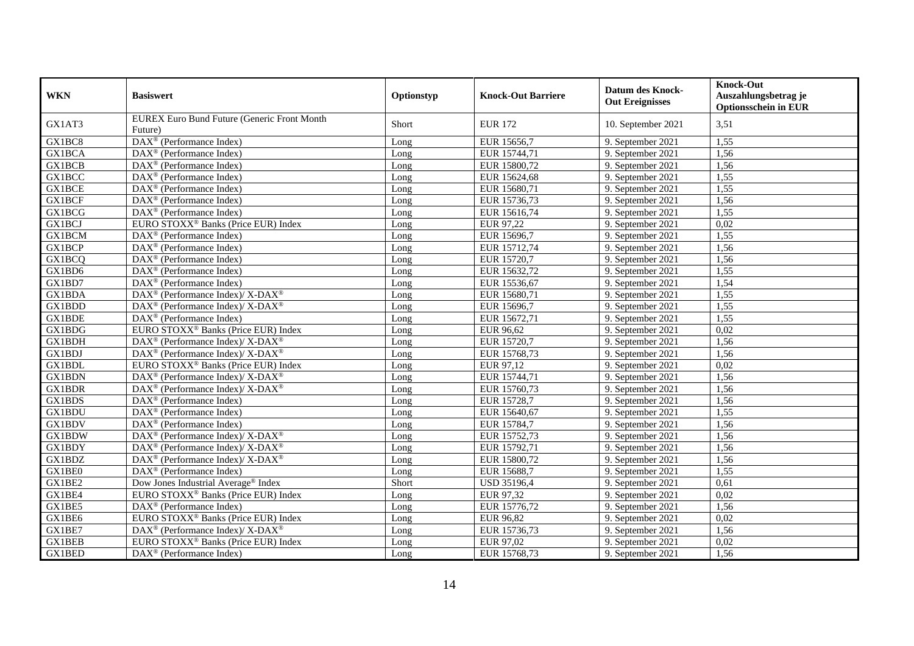| <b>WKN</b>    | <b>Basiswert</b>                                         | Optionstyp | <b>Knock-Out Barriere</b> | <b>Datum des Knock-</b><br><b>Out Ereignisses</b> | <b>Knock-Out</b><br>Auszahlungsbetrag je<br><b>Optionsschein in EUR</b> |
|---------------|----------------------------------------------------------|------------|---------------------------|---------------------------------------------------|-------------------------------------------------------------------------|
| GX1AT3        | EUREX Euro Bund Future (Generic Front Month<br>Future)   | Short      | <b>EUR 172</b>            | 10. September 2021                                | 3,51                                                                    |
| GX1BC8        | DAX <sup>®</sup> (Performance Index)                     | Long       | EUR 15656,7               | 9. September 2021                                 | 1,55                                                                    |
| <b>GX1BCA</b> | DAX <sup>®</sup> (Performance Index)                     | Long       | EUR 15744,71              | 9. September 2021                                 | 1,56                                                                    |
| <b>GX1BCB</b> | DAX <sup>®</sup> (Performance Index)                     | Long       | EUR 15800,72              | 9. September 2021                                 | 1,56                                                                    |
| <b>GX1BCC</b> | DAX <sup>®</sup> (Performance Index)                     | Long       | EUR 15624,68              | 9. September 2021                                 | 1,55                                                                    |
| <b>GX1BCE</b> | DAX <sup>®</sup> (Performance Index)                     | Long       | EUR 15680,71              | 9. September 2021                                 | 1,55                                                                    |
| <b>GX1BCF</b> | DAX <sup>®</sup> (Performance Index)                     | Long       | EUR 15736,73              | 9. September 2021                                 | 1,56                                                                    |
| GX1BCG        | DAX <sup>®</sup> (Performance Index)                     | Long       | EUR 15616,74              | 9. September 2021                                 | 1,55                                                                    |
| <b>GX1BCJ</b> | EURO STOXX <sup>®</sup> Banks (Price EUR) Index          | Long       | EUR 97,22                 | 9. September 2021                                 | 0,02                                                                    |
| <b>GX1BCM</b> | DAX <sup>®</sup> (Performance Index)                     | Long       | EUR 15696,7               | 9. September 2021                                 | 1,55                                                                    |
| GX1BCP        | DAX <sup>®</sup> (Performance Index)                     | Long       | EUR 15712,74              | 9. September 2021                                 | 1,56                                                                    |
| <b>GX1BCQ</b> | $\text{DAX}^{\circledast}$ (Performance Index)           | Long       | EUR 15720,7               | 9. September 2021                                 | 1,56                                                                    |
| GX1BD6        | $DAX^{\circledast}$ (Performance Index)                  | Long       | EUR 15632,72              | 9. September 2021                                 | 1,55                                                                    |
| GX1BD7        | DAX <sup>®</sup> (Performance Index)                     | Long       | EUR 15536,67              | 9. September 2021                                 | 1,54                                                                    |
| <b>GX1BDA</b> | DAX <sup>®</sup> (Performance Index)/X-DAX <sup>®</sup>  | Long       | EUR 15680,71              | 9. September 2021                                 | 1,55                                                                    |
| GX1BDD        | DAX <sup>®</sup> (Performance Index)/X-DAX <sup>®</sup>  | Long       | EUR 15696,7               | 9. September 2021                                 | 1,55                                                                    |
| <b>GX1BDE</b> | DAX <sup>®</sup> (Performance Index)                     | Long       | EUR 15672,71              | 9. September 2021                                 | 1,55                                                                    |
| GX1BDG        | EURO STOXX <sup>®</sup> Banks (Price EUR) Index          | Long       | EUR 96,62                 | 9. September 2021                                 | 0,02                                                                    |
| GX1BDH        | DAX <sup>®</sup> (Performance Index)/ X-DAX <sup>®</sup> | Long       | EUR 15720,7               | 9. September 2021                                 | 1,56                                                                    |
| <b>GX1BDJ</b> | DAX <sup>®</sup> (Performance Index)/X-DAX <sup>®</sup>  | Long       | EUR 15768,73              | 9. September 2021                                 | 1,56                                                                    |
| GX1BDL        | EURO STOXX <sup>®</sup> Banks (Price EUR) Index          | Long       | EUR 97,12                 | 9. September 2021                                 | 0,02                                                                    |
| <b>GX1BDN</b> | DAX <sup>®</sup> (Performance Index)/X-DAX <sup>®</sup>  | Long       | EUR 15744,71              | 9. September 2021                                 | 1,56                                                                    |
| <b>GX1BDR</b> | DAX <sup>®</sup> (Performance Index)/X-DAX <sup>®</sup>  | Long       | EUR 15760,73              | 9. September 2021                                 | 1,56                                                                    |
| GX1BDS        | DAX <sup>®</sup> (Performance Index)                     | Long       | EUR 15728,7               | 9. September 2021                                 | 1,56                                                                    |
| GX1BDU        | DAX <sup>®</sup> (Performance Index)                     | Long       | EUR 15640,67              | 9. September 2021                                 | 1,55                                                                    |
| GX1BDV        | $\overline{\text{DAX}^{\otimes}}$ (Performance Index)    | Long       | EUR 15784,7               | 9. September 2021                                 | 1,56                                                                    |
| GX1BDW        | DAX <sup>®</sup> (Performance Index)/ X-DAX <sup>®</sup> | Long       | EUR 15752,73              | 9. September 2021                                 | 1,56                                                                    |
| GX1BDY        | DAX <sup>®</sup> (Performance Index)/X-DAX <sup>®</sup>  | Long       | EUR 15792,71              | 9. September 2021                                 | 1,56                                                                    |
| GX1BDZ        | DAX <sup>®</sup> (Performance Index)/X-DAX <sup>®</sup>  | Long       | EUR 15800,72              | 9. September 2021                                 | 1,56                                                                    |
| GX1BE0        | DAX <sup>®</sup> (Performance Index)                     | Long       | EUR 15688,7               | 9. September 2021                                 | 1,55                                                                    |
| GX1BE2        | Dow Jones Industrial Average <sup>®</sup> Index          | Short      | <b>USD 35196,4</b>        | 9. September 2021                                 | 0,61                                                                    |
| GX1BE4        | EURO STOXX <sup>®</sup> Banks (Price EUR) Index          | Long       | EUR 97,32                 | 9. September 2021                                 | 0,02                                                                    |
| GX1BE5        | DAX <sup>®</sup> (Performance Index)                     | Long       | EUR 15776,72              | 9. September 2021                                 | 1,56                                                                    |
| GX1BE6        | EURO STOXX <sup>®</sup> Banks (Price EUR) Index          | Long       | <b>EUR 96,82</b>          | 9. September 2021                                 | 0,02                                                                    |
| GX1BE7        | DAX <sup>®</sup> (Performance Index)/ X-DAX <sup>®</sup> | Long       | EUR 15736,73              | 9. September 2021                                 | 1,56                                                                    |
| <b>GX1BEB</b> | EURO STOXX <sup>®</sup> Banks (Price EUR) Index          | Long       | EUR 97,02                 | 9. September 2021                                 | 0,02                                                                    |
| GX1BED        | $DAX^{\circledast}$ (Performance Index)                  | Long       | EUR 15768,73              | 9. September 2021                                 | 1,56                                                                    |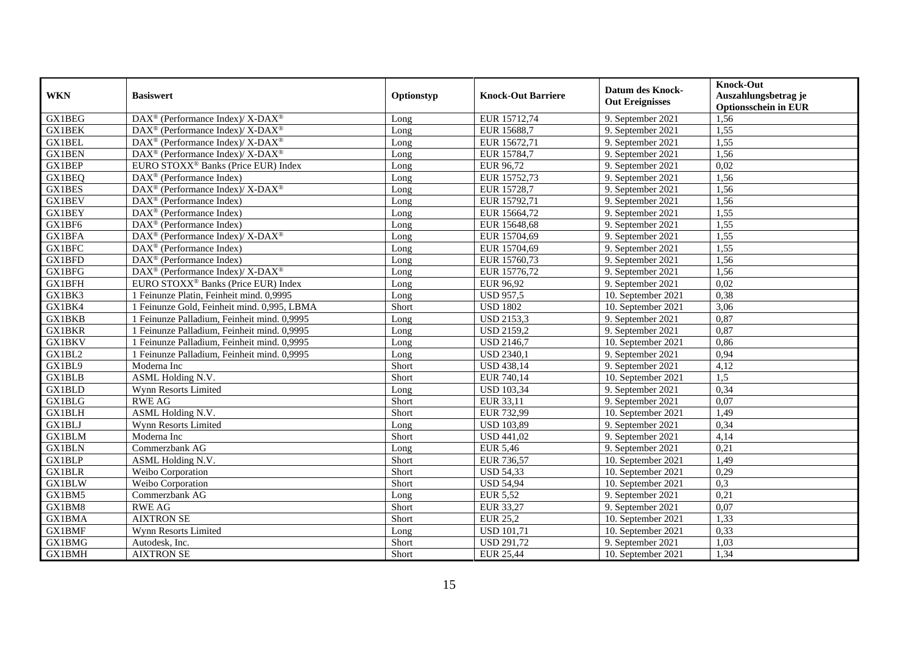| <b>WKN</b>    | <b>Basiswert</b>                                                 | Optionstyp | <b>Knock-Out Barriere</b> | <b>Datum des Knock-</b><br><b>Out Ereignisses</b> | <b>Knock-Out</b><br>Auszahlungsbetrag je<br><b>Optionsschein in EUR</b> |
|---------------|------------------------------------------------------------------|------------|---------------------------|---------------------------------------------------|-------------------------------------------------------------------------|
| <b>GX1BEG</b> | $\text{DAX}^{\circledR}$ (Performance Index)/ X-DAX <sup>®</sup> | Long       | EUR 15712,74              | 9. September 2021                                 | 1,56                                                                    |
| <b>GX1BEK</b> | $DAX^{\circledR}$ (Performance Index)/X-DAX <sup>®</sup>         | Long       | EUR 15688,7               | 9. September 2021                                 | 1,55                                                                    |
| GX1BEL        | $\text{DAX}^{\otimes}$ (Performance Index)/X-DAX <sup>®</sup>    | Long       | EUR 15672,71              | 9. September 2021                                 | 1,55                                                                    |
| <b>GX1BEN</b> | DAX <sup>®</sup> (Performance Index)/ X-DAX <sup>®</sup>         | Long       | EUR 15784,7               | 9. September 2021                                 | 1,56                                                                    |
| <b>GX1BEP</b> | EURO STOXX <sup>®</sup> Banks (Price EUR) Index                  | Long       | EUR 96,72                 | 9. September 2021                                 | 0,02                                                                    |
| <b>GX1BEQ</b> | $\text{DAX}^{\textcircled{p}}$ (Performance Index)               | Long       | EUR 15752,73              | 9. September 2021                                 | 1,56                                                                    |
| <b>GX1BES</b> | DAX <sup>®</sup> (Performance Index)/ X-DAX <sup>®</sup>         | Long       | EUR 15728,7               | 9. September 2021                                 | 1,56                                                                    |
| <b>GX1BEV</b> | $\text{DAX}^{\circledR}$ (Performance Index)                     | Long       | EUR 15792,71              | 9. September 2021                                 | 1,56                                                                    |
| GX1BEY        | DAX <sup>®</sup> (Performance Index)                             | Long       | EUR 15664,72              | 9. September 2021                                 | 1,55                                                                    |
| GX1BF6        | DAX <sup>®</sup> (Performance Index)                             | Long       | EUR 15648,68              | 9. September 2021                                 | 1,55                                                                    |
| GX1BFA        | DAX <sup>®</sup> (Performance Index)/ X-DAX <sup>®</sup>         | Long       | EUR 15704,69              | 9. September 2021                                 | 1,55                                                                    |
| GX1BFC        | DAX <sup>®</sup> (Performance Index)                             | Long       | EUR 15704,69              | 9. September 2021                                 | 1,55                                                                    |
| <b>GX1BFD</b> | DAX <sup>®</sup> (Performance Index)                             | Long       | EUR 15760,73              | 9. September 2021                                 | 1,56                                                                    |
| GX1BFG        | $\text{DAX}^{\otimes}$ (Performance Index)/X-DAX <sup>®</sup>    | Long       | EUR 15776,72              | 9. September 2021                                 | 1,56                                                                    |
| GX1BFH        | EURO STOXX <sup>®</sup> Banks (Price EUR) Index                  | Long       | EUR 96,92                 | 9. September 2021                                 | 0,02                                                                    |
| GX1BK3        | 1 Feinunze Platin, Feinheit mind. 0,9995                         | Long       | <b>USD 957,5</b>          | 10. September 2021                                | 0,38                                                                    |
| GX1BK4        | 1 Feinunze Gold, Feinheit mind. 0,995, LBMA                      | Short      | <b>USD 1802</b>           | 10. September 2021                                | 3,06                                                                    |
| <b>GX1BKB</b> | 1 Feinunze Palladium, Feinheit mind. 0,9995                      | Long       | <b>USD 2153,3</b>         | 9. September 2021                                 | 0,87                                                                    |
| <b>GX1BKR</b> | 1 Feinunze Palladium, Feinheit mind. 0,9995                      | Long       | <b>USD 2159,2</b>         | 9. September 2021                                 | 0,87                                                                    |
| <b>GX1BKV</b> | 1 Feinunze Palladium, Feinheit mind. 0,9995                      | Long       | <b>USD 2146,7</b>         | 10. September 2021                                | 0,86                                                                    |
| GX1BL2        | 1 Feinunze Palladium, Feinheit mind. 0,9995                      | Long       | <b>USD 2340,1</b>         | 9. September 2021                                 | 0,94                                                                    |
| GX1BL9        | Moderna Inc                                                      | Short      | <b>USD 438,14</b>         | 9. September 2021                                 | 4,12                                                                    |
| <b>GX1BLB</b> | ASML Holding N.V.                                                | Short      | EUR 740,14                | 10. September 2021                                | 1,5                                                                     |
| <b>GX1BLD</b> | Wynn Resorts Limited                                             | Long       | <b>USD 103,34</b>         | 9. September 2021                                 | 0,34                                                                    |
| <b>GX1BLG</b> | <b>RWE AG</b>                                                    | Short      | EUR 33,11                 | 9. September 2021                                 | 0,07                                                                    |
| <b>GX1BLH</b> | <b>ASML Holding N.V.</b>                                         | Short      | EUR 732,99                | 10. September 2021                                | 1,49                                                                    |
| <b>GX1BLJ</b> | Wynn Resorts Limited                                             | Long       | <b>USD 103,89</b>         | 9. September 2021                                 | 0,34                                                                    |
| <b>GX1BLM</b> | Moderna Inc                                                      | Short      | <b>USD 441,02</b>         | 9. September 2021                                 | 4,14                                                                    |
| <b>GX1BLN</b> | Commerzbank AG                                                   | Long       | <b>EUR 5,46</b>           | 9. September 2021                                 | 0,21                                                                    |
| <b>GX1BLP</b> | ASML Holding N.V.                                                | Short      | EUR 736,57                | 10. September 2021                                | 1,49                                                                    |
| <b>GX1BLR</b> | Weibo Corporation                                                | Short      | <b>USD 54,33</b>          | 10. September 2021                                | 0,29                                                                    |
| <b>GX1BLW</b> | Weibo Corporation                                                | Short      | <b>USD 54,94</b>          | 10. September 2021                                | 0,3                                                                     |
| GX1BM5        | Commerzbank AG                                                   | Long       | <b>EUR 5,52</b>           | 9. September 2021                                 | 0,21                                                                    |
| GX1BM8        | <b>RWE AG</b>                                                    | Short      | EUR 33,27                 | 9. September 2021                                 | 0,07                                                                    |
| <b>GX1BMA</b> | <b>AIXTRON SE</b>                                                | Short      | $\overline{E}$ UR 25,2    | 10. September 2021                                | 1,33                                                                    |
| GX1BMF        | Wynn Resorts Limited                                             | Long       | <b>USD 101,71</b>         | 10. September 2021                                | 0,33                                                                    |
| <b>GX1BMG</b> | Autodesk, Inc.                                                   | Short      | <b>USD 291,72</b>         | 9. September 2021                                 | 1,03                                                                    |
| <b>GX1BMH</b> | <b>AIXTRON SE</b>                                                | Short      | <b>EUR 25,44</b>          | 10. September 2021                                | 1,34                                                                    |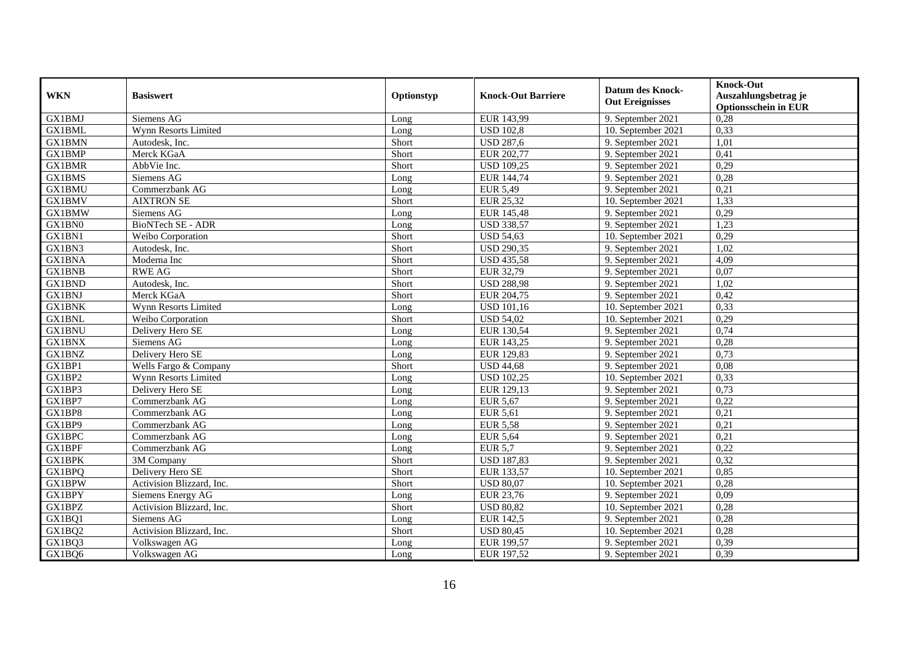| <b>WKN</b>    | <b>Basiswert</b>          | Optionstyp | <b>Knock-Out Barriere</b> | <b>Datum des Knock-</b><br><b>Out Ereignisses</b> | <b>Knock-Out</b><br>Auszahlungsbetrag je<br><b>Optionsschein in EUR</b> |
|---------------|---------------------------|------------|---------------------------|---------------------------------------------------|-------------------------------------------------------------------------|
| <b>GX1BMJ</b> | Siemens AG                | Long       | EUR 143,99                | 9. September 2021                                 | 0,28                                                                    |
| <b>GX1BML</b> | Wynn Resorts Limited      | Long       | <b>USD 102,8</b>          | 10. September 2021                                | 0,33                                                                    |
| <b>GX1BMN</b> | Autodesk, Inc.            | Short      | <b>USD 287,6</b>          | 9. September 2021                                 | 1,01                                                                    |
| GX1BMP        | Merck KGaA                | Short      | EUR 202,77                | 9. September 2021                                 | 0,41                                                                    |
| <b>GX1BMR</b> | AbbVie Inc.               | Short      | <b>USD 109,25</b>         | 9. September 2021                                 | 0,29                                                                    |
| <b>GX1BMS</b> | Siemens AG                | Long       | EUR 144,74                | 9. September 2021                                 | 0,28                                                                    |
| <b>GX1BMU</b> | Commerzbank AG            | Long       | <b>EUR 5,49</b>           | 9. September 2021                                 | 0,21                                                                    |
| <b>GX1BMV</b> | <b>AIXTRON SE</b>         | Short      | <b>EUR 25,32</b>          | 10. September 2021                                | 1,33                                                                    |
| <b>GX1BMW</b> | Siemens AG                | Long       | <b>EUR 145,48</b>         | 9. September 2021                                 | 0,29                                                                    |
| GX1BN0        | BioNTech SE - ADR         | Long       | <b>USD 338,57</b>         | 9. September 2021                                 | 1,23                                                                    |
| GX1BN1        | Weibo Corporation         | Short      | <b>USD 54,63</b>          | 10. September 2021                                | 0,29                                                                    |
| GX1BN3        | Autodesk, Inc.            | Short      | <b>USD 290,35</b>         | 9. September 2021                                 | 1,02                                                                    |
| <b>GX1BNA</b> | Moderna Inc               | Short      | <b>USD 435,58</b>         | 9. September 2021                                 | 4,09                                                                    |
| <b>GX1BNB</b> | <b>RWE AG</b>             | Short      | EUR 32,79                 | 9. September 2021                                 | 0,07                                                                    |
| <b>GX1BND</b> | Autodesk, Inc.            | Short      | <b>USD 288,98</b>         | 9. September 2021                                 | 1,02                                                                    |
| <b>GX1BNJ</b> | Merck KGaA                | Short      | EUR 204,75                | 9. September 2021                                 | 0,42                                                                    |
| <b>GX1BNK</b> | Wynn Resorts Limited      | Long       | <b>USD 101,16</b>         | 10. September 2021                                | 0,33                                                                    |
| <b>GX1BNL</b> | Weibo Corporation         | Short      | <b>USD 54,02</b>          | 10. September 2021                                | 0,29                                                                    |
| <b>GX1BNU</b> | Delivery Hero SE          | Long       | EUR 130,54                | 9. September 2021                                 | 0,74                                                                    |
| <b>GX1BNX</b> | Siemens AG                | Long       | EUR 143,25                | 9. September 2021                                 | 0,28                                                                    |
| <b>GX1BNZ</b> | Delivery Hero SE          | Long       | EUR 129,83                | 9. September 2021                                 | 0,73                                                                    |
| GX1BP1        | Wells Fargo & Company     | Short      | <b>USD 44,68</b>          | 9. September 2021                                 | 0,08                                                                    |
| GX1BP2        | Wynn Resorts Limited      | Long       | <b>USD 102,25</b>         | 10. September 2021                                | 0,33                                                                    |
| GX1BP3        | Delivery Hero SE          | Long       | EUR 129,13                | 9. September 2021                                 | 0,73                                                                    |
| GX1BP7        | Commerzbank AG            | Long       | <b>EUR 5,67</b>           | 9. September 2021                                 | 0,22                                                                    |
| GX1BP8        | Commerzbank AG            | Long       | <b>EUR 5,61</b>           | 9. September 2021                                 | 0,21                                                                    |
| GX1BP9        | Commerzbank AG            | Long       | <b>EUR 5,58</b>           | 9. September 2021                                 | 0,21                                                                    |
| <b>GX1BPC</b> | Commerzbank AG            | Long       | <b>EUR 5,64</b>           | 9. September 2021                                 | 0,21                                                                    |
| <b>GX1BPF</b> | Commerzbank AG            | Long       | <b>EUR 5.7</b>            | 9. September 2021                                 | 0,22                                                                    |
| <b>GX1BPK</b> | $\overline{3M}$ Company   | Short      | <b>USD 187,83</b>         | 9. September 2021                                 | 0,32                                                                    |
| <b>GX1BPQ</b> | Delivery Hero SE          | Short      | EUR 133,57                | 10. September 2021                                | 0,85                                                                    |
| <b>GX1BPW</b> | Activision Blizzard, Inc. | Short      | <b>USD 80,07</b>          | 10. September 2021                                | 0,28                                                                    |
| <b>GX1BPY</b> | Siemens Energy AG         | Long       | EUR 23,76                 | 9. September 2021                                 | 0,09                                                                    |
| <b>GX1BPZ</b> | Activision Blizzard, Inc. | Short      | <b>USD 80,82</b>          | 10. September 2021                                | 0,28                                                                    |
| GX1BQ1        | Siemens AG                | Long       | EUR 142,5                 | 9. September 2021                                 | 0,28                                                                    |
| GX1BQ2        | Activision Blizzard, Inc. | Short      | <b>USD 80,45</b>          | 10. September 2021                                | 0,28                                                                    |
| GX1BQ3        | Volkswagen AG             | Long       | EUR 199,57                | 9. September 2021                                 | 0,39                                                                    |
| GX1BQ6        | Volkswagen AG             | Long       | EUR 197,52                | 9. September 2021                                 | 0,39                                                                    |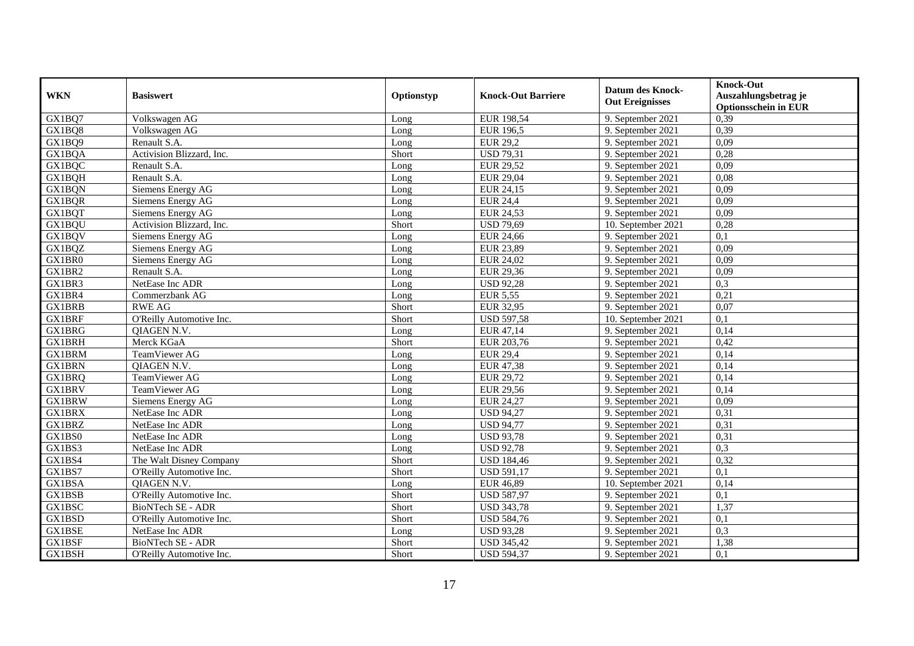| <b>WKN</b>    | <b>Basiswert</b>          | Optionstyp | <b>Knock-Out Barriere</b> | <b>Datum des Knock-</b><br><b>Out Ereignisses</b> | <b>Knock-Out</b><br>Auszahlungsbetrag je<br><b>Optionsschein in EUR</b> |
|---------------|---------------------------|------------|---------------------------|---------------------------------------------------|-------------------------------------------------------------------------|
| GX1BQ7        | Volkswagen AG             | Long       | EUR 198,54                | 9. September 2021                                 | 0,39                                                                    |
| GX1BO8        | Volkswagen AG             | Long       | <b>EUR 196,5</b>          | 9. September 2021                                 | 0,39                                                                    |
| GX1BQ9        | Renault S.A.              | Long       | <b>EUR 29,2</b>           | 9. September 2021                                 | 0,09                                                                    |
| GX1BQA        | Activision Blizzard, Inc. | Short      | <b>USD 79,31</b>          | 9. September 2021                                 | 0,28                                                                    |
| GX1BQC        | Renault S.A.              | Long       | <b>EUR 29,52</b>          | 9. September 2021                                 | 0,09                                                                    |
| GX1BQH        | Renault S.A.              | Long       | <b>EUR 29,04</b>          | 9. September 2021                                 | 0,08                                                                    |
| <b>GX1BQN</b> | Siemens Energy AG         | Long       | EUR 24,15                 | 9. September 2021                                 | 0,09                                                                    |
| GX1BQR        | Siemens Energy AG         | Long       | <b>EUR 24,4</b>           | 9. September 2021                                 | 0,09                                                                    |
| GX1BQT        | Siemens Energy AG         | Long       | <b>EUR 24,53</b>          | 9. September 2021                                 | 0,09                                                                    |
| GX1BQU        | Activision Blizzard, Inc. | Short      | <b>USD 79,69</b>          | 10. September 2021                                | 0,28                                                                    |
| <b>GX1BQV</b> | Siemens Energy AG         | Long       | <b>EUR 24,66</b>          | 9. September 2021                                 | 0,1                                                                     |
| GX1BQZ        | Siemens Energy AG         | Long       | <b>EUR 23,89</b>          | 9. September 2021                                 | 0,09                                                                    |
| GX1BR0        | Siemens Energy AG         | Long       | <b>EUR 24,02</b>          | 9. September 2021                                 | 0,09                                                                    |
| GX1BR2        | Renault S.A.              | Long       | <b>EUR 29,36</b>          | 9. September 2021                                 | 0,09                                                                    |
| GX1BR3        | NetEase Inc ADR           | Long       | <b>USD 92,28</b>          | 9. September 2021                                 | 0,3                                                                     |
| GX1BR4        | Commerzbank AG            | Long       | <b>EUR 5,55</b>           | 9. September 2021                                 | 0,21                                                                    |
| <b>GX1BRB</b> | <b>RWE AG</b>             | Short      | <b>EUR 32,95</b>          | 9. September 2021                                 | 0,07                                                                    |
| <b>GX1BRF</b> | O'Reilly Automotive Inc.  | Short      | <b>USD 597,58</b>         | 10. September 2021                                | 0,1                                                                     |
| <b>GX1BRG</b> | <b>OIAGEN N.V.</b>        | Long       | EUR 47,14                 | 9. September 2021                                 | 0,14                                                                    |
| <b>GX1BRH</b> | Merck KGaA                | Short      | EUR 203,76                | 9. September 2021                                 | 0,42                                                                    |
| <b>GX1BRM</b> | TeamViewer AG             | Long       | <b>EUR 29,4</b>           | 9. September 2021                                 | 0,14                                                                    |
| <b>GX1BRN</b> | <b>OIAGEN N.V.</b>        | Long       | <b>EUR 47,38</b>          | 9. September 2021                                 | 0,14                                                                    |
| <b>GX1BRQ</b> | TeamViewer AG             | Long       | <b>EUR 29,72</b>          | 9. September 2021                                 | 0,14                                                                    |
| <b>GX1BRV</b> | TeamViewer AG             | Long       | <b>EUR 29,56</b>          | 9. September 2021                                 | 0,14                                                                    |
| <b>GX1BRW</b> | Siemens Energy AG         | Long       | <b>EUR 24,27</b>          | 9. September 2021                                 | 0,09                                                                    |
| <b>GX1BRX</b> | NetEase Inc ADR           | Long       | <b>USD 94,27</b>          | 9. September 2021                                 | 0,31                                                                    |
| <b>GX1BRZ</b> | NetEase Inc ADR           | Long       | <b>USD 94,77</b>          | 9. September 2021                                 | 0,31                                                                    |
| GX1BS0        | NetEase Inc ADR           | Long       | <b>USD 93,78</b>          | 9. September 2021                                 | 0,31                                                                    |
| GX1BS3        | NetEase Inc ADR           | Long       | <b>USD 92,78</b>          | 9. September 2021                                 | 0,3                                                                     |
| GX1BS4        | The Walt Disney Company   | Short      | <b>USD 184,46</b>         | 9. September 2021                                 | 0,32                                                                    |
| GX1BS7        | O'Reilly Automotive Inc.  | Short      | <b>USD 591,17</b>         | 9. September 2021                                 | 0,1                                                                     |
| <b>GX1BSA</b> | QIAGEN N.V.               | Long       | <b>EUR 46,89</b>          | 10. September 2021                                | 0,14                                                                    |
| <b>GX1BSB</b> | O'Reilly Automotive Inc.  | Short      | <b>USD 587,97</b>         | 9. September 2021                                 | 0,1                                                                     |
| GX1BSC        | BioNTech SE - ADR         | Short      | <b>USD 343,78</b>         | 9. September 2021                                 | 1,37                                                                    |
| GX1BSD        | O'Reilly Automotive Inc.  | Short      | <b>USD 584,76</b>         | 9. September 2021                                 | 0,1                                                                     |
| GX1BSE        | NetEase Inc ADR           | Long       | <b>USD 93,28</b>          | 9. September 2021                                 | 0,3                                                                     |
| GX1BSF        | <b>BioNTech SE - ADR</b>  | Short      | <b>USD 345,42</b>         | 9. September 2021                                 | 1,38                                                                    |
| GX1BSH        | O'Reilly Automotive Inc.  | Short      | <b>USD 594,37</b>         | 9. September 2021                                 | 0,1                                                                     |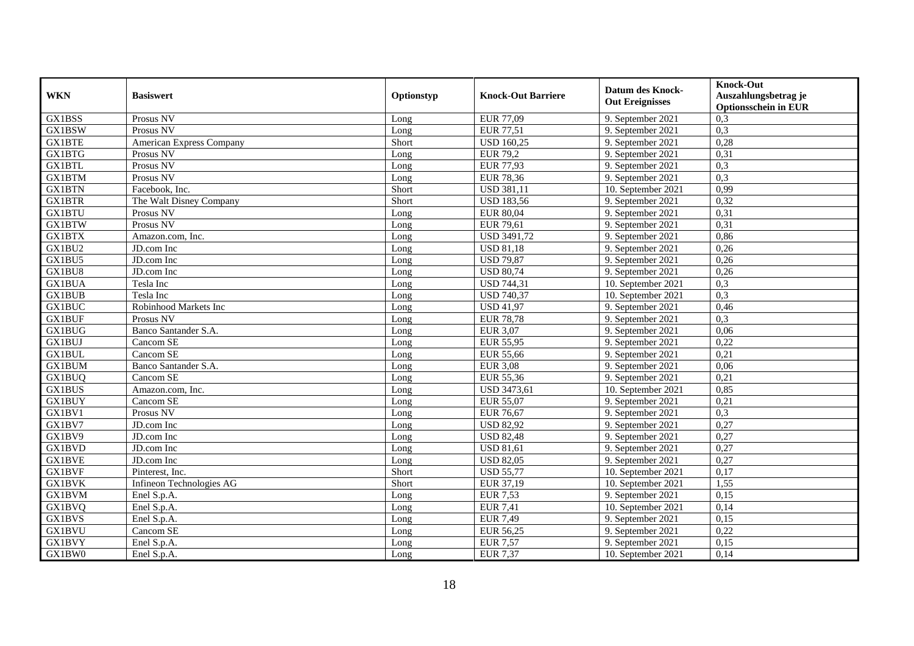| <b>WKN</b>    | <b>Basiswert</b>                | Optionstyp | <b>Knock-Out Barriere</b> | <b>Datum des Knock-</b><br><b>Out Ereignisses</b> | <b>Knock-Out</b><br>Auszahlungsbetrag je<br><b>Optionsschein in EUR</b> |
|---------------|---------------------------------|------------|---------------------------|---------------------------------------------------|-------------------------------------------------------------------------|
| GX1BSS        | Prosus NV                       | Long       | <b>EUR 77,09</b>          | 9. September 2021                                 | 0,3                                                                     |
| <b>GX1BSW</b> | Prosus NV                       | Long       | <b>EUR 77,51</b>          | 9. September 2021                                 | 0,3                                                                     |
| <b>GX1BTE</b> | <b>American Express Company</b> | Short      | <b>USD 160,25</b>         | 9. September 2021                                 | 0,28                                                                    |
| GX1BTG        | Prosus NV                       | Long       | <b>EUR 79,2</b>           | 9. September 2021                                 | 0,31                                                                    |
| <b>GX1BTL</b> | Prosus NV                       | Long       | <b>EUR 77,93</b>          | 9. September 2021                                 | 0,3                                                                     |
| <b>GX1BTM</b> | Prosus NV                       | Long       | <b>EUR 78,36</b>          | 9. September 2021                                 | 0,3                                                                     |
| <b>GX1BTN</b> | Facebook. Inc.                  | Short      | <b>USD 381,11</b>         | 10. September 2021                                | 0,99                                                                    |
| <b>GX1BTR</b> | The Walt Disney Company         | Short      | <b>USD 183,56</b>         | 9. September 2021                                 | 0,32                                                                    |
| <b>GX1BTU</b> | Prosus NV                       | Long       | <b>EUR 80,04</b>          | 9. September 2021                                 | 0,31                                                                    |
| <b>GX1BTW</b> | Prosus NV                       | Long       | <b>EUR 79,61</b>          | 9. September 2021                                 | 0,31                                                                    |
| GX1BTX        | Amazon.com, Inc.                | Long       | <b>USD 3491,72</b>        | 9. September 2021                                 | 0,86                                                                    |
| GX1BU2        | JD.com Inc                      | Long       | <b>USD 81,18</b>          | 9. September 2021                                 | 0,26                                                                    |
| GX1BU5        | JD.com Inc                      | Long       | <b>USD 79,87</b>          | 9. September 2021                                 | 0,26                                                                    |
| GX1BU8        | JD.com Inc                      | Long       | <b>USD 80,74</b>          | 9. September 2021                                 | 0,26                                                                    |
| <b>GX1BUA</b> | Tesla Inc                       | Long       | <b>USD 744,31</b>         | 10. September 2021                                | 0,3                                                                     |
| <b>GX1BUB</b> | Tesla Inc                       | Long       | <b>USD 740,37</b>         | 10. September 2021                                | 0,3                                                                     |
| <b>GX1BUC</b> | Robinhood Markets Inc           | Long       | <b>USD 41,97</b>          | 9. September 2021                                 | 0,46                                                                    |
| <b>GX1BUF</b> | Prosus NV                       | Long       | <b>EUR 78,78</b>          | 9. September 2021                                 | 0,3                                                                     |
| <b>GX1BUG</b> | Banco Santander S.A.            | Long       | <b>EUR 3,07</b>           | 9. September 2021                                 | 0,06                                                                    |
| GX1BUJ        | Cancom SE                       | Long       | <b>EUR 55,95</b>          | 9. September 2021                                 | 0,22                                                                    |
| <b>GX1BUL</b> | Cancom SE                       | Long       | <b>EUR 55,66</b>          | 9. September 2021                                 | 0,21                                                                    |
| <b>GX1BUM</b> | Banco Santander S.A.            | Long       | <b>EUR 3,08</b>           | 9. September 2021                                 | 0,06                                                                    |
| <b>GX1BUQ</b> | Cancom SE                       | Long       | EUR 55,36                 | 9. September 2021                                 | 0,21                                                                    |
| <b>GX1BUS</b> | Amazon.com, Inc.                | Long       | USD 3473,61               | 10. September 2021                                | 0,85                                                                    |
| <b>GX1BUY</b> | Cancom SE                       | Long       | <b>EUR 55,07</b>          | 9. September 2021                                 | 0,21                                                                    |
| GX1BV1        | Prosus NV                       | Long       | <b>EUR 76,67</b>          | 9. September 2021                                 | 0,3                                                                     |
| GX1BV7        | JD.com Inc                      | Long       | <b>USD 82,92</b>          | 9. September 2021                                 | 0,27                                                                    |
| GX1BV9        | JD.com Inc                      | Long       | <b>USD 82,48</b>          | 9. September 2021                                 | 0,27                                                                    |
| <b>GX1BVD</b> | JD.com Inc                      | Long       | <b>USD 81,61</b>          | 9. September 2021                                 | 0,27                                                                    |
| GX1BVE        | JD.com Inc                      | Long       | <b>USD 82,05</b>          | 9. September 2021                                 | 0,27                                                                    |
| <b>GX1BVF</b> | Pinterest, Inc.                 | Short      | <b>USD 55,77</b>          | 10. September 2021                                | 0,17                                                                    |
| <b>GX1BVK</b> | Infineon Technologies AG        | Short      | EUR 37,19                 | 10. September 2021                                | 1,55                                                                    |
| <b>GX1BVM</b> | Enel S.p.A.                     | Long       | <b>EUR 7,53</b>           | 9. September 2021                                 | 0,15                                                                    |
| <b>GX1BVQ</b> | Enel S.p.A.                     | Long       | <b>EUR 7,41</b>           | $10.$ September 2021                              | 0,14                                                                    |
| <b>GX1BVS</b> | Enel S.p.A.                     | Long       | <b>EUR 7,49</b>           | 9. September 2021                                 | 0,15                                                                    |
| <b>GX1BVU</b> | Cancom SE                       | Long       | EUR 56,25                 | 9. September 2021                                 | 0,22                                                                    |
| <b>GX1BVY</b> | Enel S.p.A.                     | Long       | <b>EUR 7,57</b>           | 9. September 2021                                 | 0,15                                                                    |
| GX1BW0        | Enel S.p.A.                     | Long       | <b>EUR 7,37</b>           | 10. September 2021                                | 0,14                                                                    |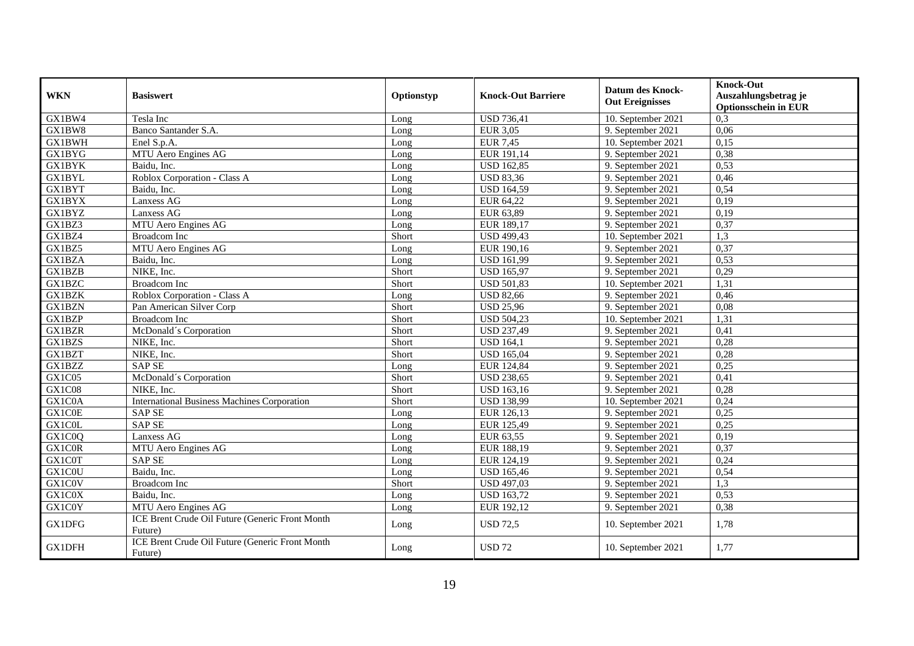| <b>WKN</b>    | <b>Basiswert</b>                                           | Optionstyp | <b>Knock-Out Barriere</b> | <b>Datum des Knock-</b><br><b>Out Ereignisses</b> | <b>Knock-Out</b><br>Auszahlungsbetrag je<br><b>Optionsschein in EUR</b> |
|---------------|------------------------------------------------------------|------------|---------------------------|---------------------------------------------------|-------------------------------------------------------------------------|
| GX1BW4        | Tesla Inc                                                  | Long       | <b>USD 736,41</b>         | 10. September 2021                                | 0,3                                                                     |
| GX1BW8        | Banco Santander S.A.                                       | Long       | <b>EUR 3,05</b>           | 9. September 2021                                 | 0,06                                                                    |
| <b>GX1BWH</b> | Enel S.p.A.                                                | Long       | <b>EUR 7,45</b>           | 10. September 2021                                | 0,15                                                                    |
| <b>GX1BYG</b> | MTU Aero Engines AG                                        | Long       | EUR 191,14                | 9. September 2021                                 | 0,38                                                                    |
| <b>GX1BYK</b> | Baidu, Inc.                                                | Long       | <b>USD 162,85</b>         | 9. September 2021                                 | 0,53                                                                    |
| GX1BYL        | Roblox Corporation - Class A                               | Long       | <b>USD 83,36</b>          | 9. September 2021                                 | 0,46                                                                    |
| GX1BYT        | Baidu, Inc.                                                | Long       | <b>USD 164,59</b>         | 9. September 2021                                 | 0,54                                                                    |
| <b>GX1BYX</b> | Lanxess AG                                                 | Long       | EUR 64,22                 | 9. September 2021                                 | 0,19                                                                    |
| GX1BYZ        | Lanxess AG                                                 | Long       | EUR 63,89                 | 9. September 2021                                 | 0,19                                                                    |
| GX1BZ3        | MTU Aero Engines AG                                        | Long       | EUR 189,17                | 9. September 2021                                 | 0,37                                                                    |
| GX1BZ4        | <b>Broadcom</b> Inc                                        | Short      | <b>USD 499,43</b>         | 10. September 2021                                | $\overline{1,3}$                                                        |
| GX1BZ5        | MTU Aero Engines AG                                        | Long       | EUR 190,16                | 9. September 2021                                 | 0,37                                                                    |
| <b>GX1BZA</b> | Baidu, Inc.                                                | Long       | <b>USD 161,99</b>         | 9. September 2021                                 | 0,53                                                                    |
| GX1BZB        | NIKE, Inc.                                                 | Short      | <b>USD 165,97</b>         | 9. September 2021                                 | 0,29                                                                    |
| GX1BZC        | <b>Broadcom</b> Inc                                        | Short      | <b>USD 501,83</b>         | 10. September 2021                                | 1,31                                                                    |
| <b>GX1BZK</b> | Roblox Corporation - Class A                               | Long       | <b>USD 82,66</b>          | 9. September 2021                                 | 0,46                                                                    |
| <b>GX1BZN</b> | Pan American Silver Corp                                   | Short      | <b>USD 25,96</b>          | 9. September 2021                                 | 0.08                                                                    |
| GX1BZP        | <b>Broadcom</b> Inc                                        | Short      | <b>USD 504,23</b>         | 10. September 2021                                | 1,31                                                                    |
| <b>GX1BZR</b> | McDonald's Corporation                                     | Short      | <b>USD 237,49</b>         | 9. September 2021                                 | 0,41                                                                    |
| GX1BZS        | NIKE, Inc.                                                 | Short      | <b>USD 164,1</b>          | 9. September 2021                                 | 0,28                                                                    |
| GX1BZT        | NIKE, Inc.                                                 | Short      | <b>USD 165,04</b>         | 9. September 2021                                 | 0,28                                                                    |
| GX1BZZ        | <b>SAP SE</b>                                              | Long       | EUR 124,84                | 9. September 2021                                 | 0,25                                                                    |
| GX1C05        | McDonald's Corporation                                     | Short      | <b>USD 238,65</b>         | 9. September 2021                                 | 0,41                                                                    |
| GX1C08        | NIKE, Inc.                                                 | Short      | <b>USD 163,16</b>         | 9. September 2021                                 | 0,28                                                                    |
| GX1C0A        | <b>International Business Machines Corporation</b>         | Short      | <b>USD 138,99</b>         | 10. September 2021                                | 0,24                                                                    |
| GX1C0E        | SAP SE                                                     | Long       | EUR 126,13                | 9. September 2021                                 | 0,25                                                                    |
| GX1C0L        | <b>SAP SE</b>                                              | Long       | EUR 125,49                | 9. September 2021                                 | 0,25                                                                    |
| GX1C0Q        | Lanxess AG                                                 | Long       | EUR 63,55                 | 9. September 2021                                 | 0,19                                                                    |
| GX1C0R        | MTU Aero Engines AG                                        | Long       | EUR 188,19                | 9. September 2021                                 | 0,37                                                                    |
| GX1C0T        | <b>SAP SE</b>                                              | Long       | EUR 124,19                | 9. September 2021                                 | 0,24                                                                    |
| GX1C0U        | Baidu, Inc.                                                | Long       | <b>USD 165,46</b>         | 9. September 2021                                 | 0,54                                                                    |
| GX1C0V        | Broadcom Inc                                               | Short      | <b>USD 497,03</b>         | 9. September 2021                                 | 1,3                                                                     |
| <b>GX1C0X</b> | Baidu, Inc.                                                | Long       | <b>USD 163,72</b>         | 9. September 2021                                 | 0,53                                                                    |
| GX1C0Y        | MTU Aero Engines AG                                        | Long       | EUR 192,12                | 9. September 2021                                 | 0,38                                                                    |
| <b>GX1DFG</b> | ICE Brent Crude Oil Future (Generic Front Month<br>Future) | Long       | <b>USD 72,5</b>           | 10. September 2021                                | 1,78                                                                    |
| <b>GX1DFH</b> | ICE Brent Crude Oil Future (Generic Front Month<br>Future) | Long       | <b>USD 72</b>             | 10. September 2021                                | 1,77                                                                    |